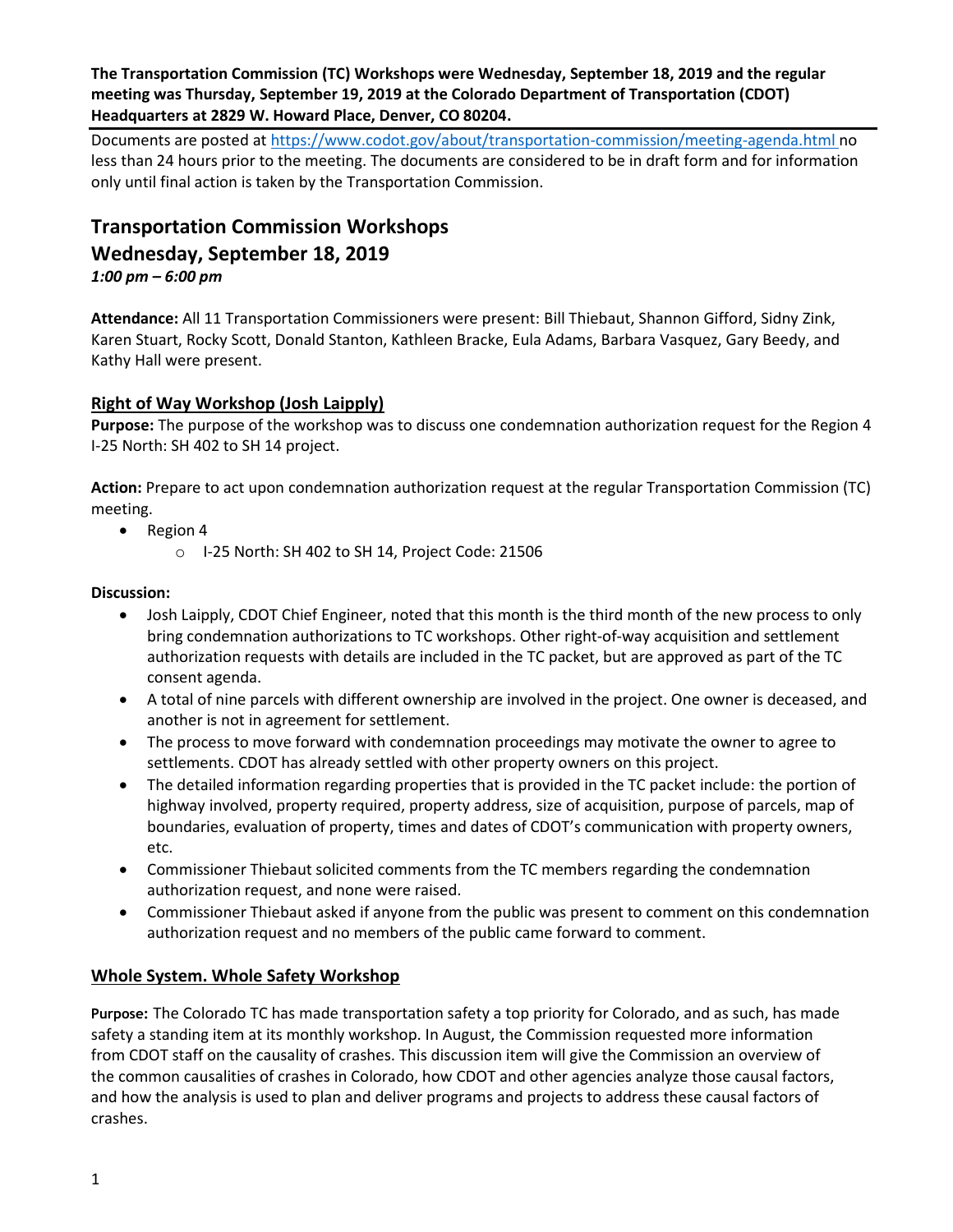## **The Transportation Commission (TC) Workshops were Wednesday, September 18, 2019 and the regular meeting was Thursday, September 19, 2019 at the Colorado Department of Transportation (CDOT) Headquarters at 2829 W. Howard Place, Denver, CO 80204.**

Documents are posted at<https://www.codot.gov/about/transportation-commission/meeting-agenda.html> no less than 24 hours prior to the meeting. The documents are considered to be in draft form and for information only until final action is taken by the Transportation Commission.

# **Transportation Commission Workshops Wednesday, September 18, 2019**

*1:00 pm – 6:00 pm*

**Attendance:** All 11 Transportation Commissioners were present: Bill Thiebaut, Shannon Gifford, Sidny Zink, Karen Stuart, Rocky Scott, Donald Stanton, Kathleen Bracke, Eula Adams, Barbara Vasquez, Gary Beedy, and Kathy Hall were present.

# **[Right of Way Workshop \(Josh Laipply\)](https://www.codot.gov/about/transportation-commission/documents/2018-agendas-and-supporting-documents/december-2018/tc-row-2018-12-final.pdf)**

**Purpose:** The purpose of the workshop was to discuss one condemnation authorization request for the Region 4 I-25 North: SH 402 to SH 14 project.

**Action:** Prepare to act upon condemnation authorization request at the regular Transportation Commission (TC) meeting.

- Region 4
	- o I-25 North: SH 402 to SH 14, Project Code: 21506

#### **Discussion:**

- Josh Laipply, CDOT Chief Engineer, noted that this month is the third month of the new process to only bring condemnation authorizations to TC workshops. Other right-of-way acquisition and settlement authorization requests with details are included in the TC packet, but are approved as part of the TC consent agenda.
- A total of nine parcels with different ownership are involved in the project. One owner is deceased, and another is not in agreement for settlement.
- The process to move forward with condemnation proceedings may motivate the owner to agree to settlements. CDOT has already settled with other property owners on this project.
- The detailed information regarding properties that is provided in the TC packet include: the portion of highway involved, property required, property address, size of acquisition, purpose of parcels, map of boundaries, evaluation of property, times and dates of CDOT's communication with property owners, etc.
- Commissioner Thiebaut solicited comments from the TC members regarding the condemnation authorization request, and none were raised.
- Commissioner Thiebaut asked if anyone from the public was present to comment on this condemnation authorization request and no members of the public came forward to comment.

## **Whole System. Whole Safety Workshop**

**Purpose:** The Colorado TC has made transportation safety a top priority for Colorado, and as such, has made safety a standing item at its monthly workshop. In August, the Commission requested more information from CDOT staff on the causality of crashes. This discussion item will give the Commission an overview of the common causalities of crashes in Colorado, how CDOT and other agencies analyze those causal factors, and how the analysis is used to plan and deliver programs and projects to address these causal factors of crashes.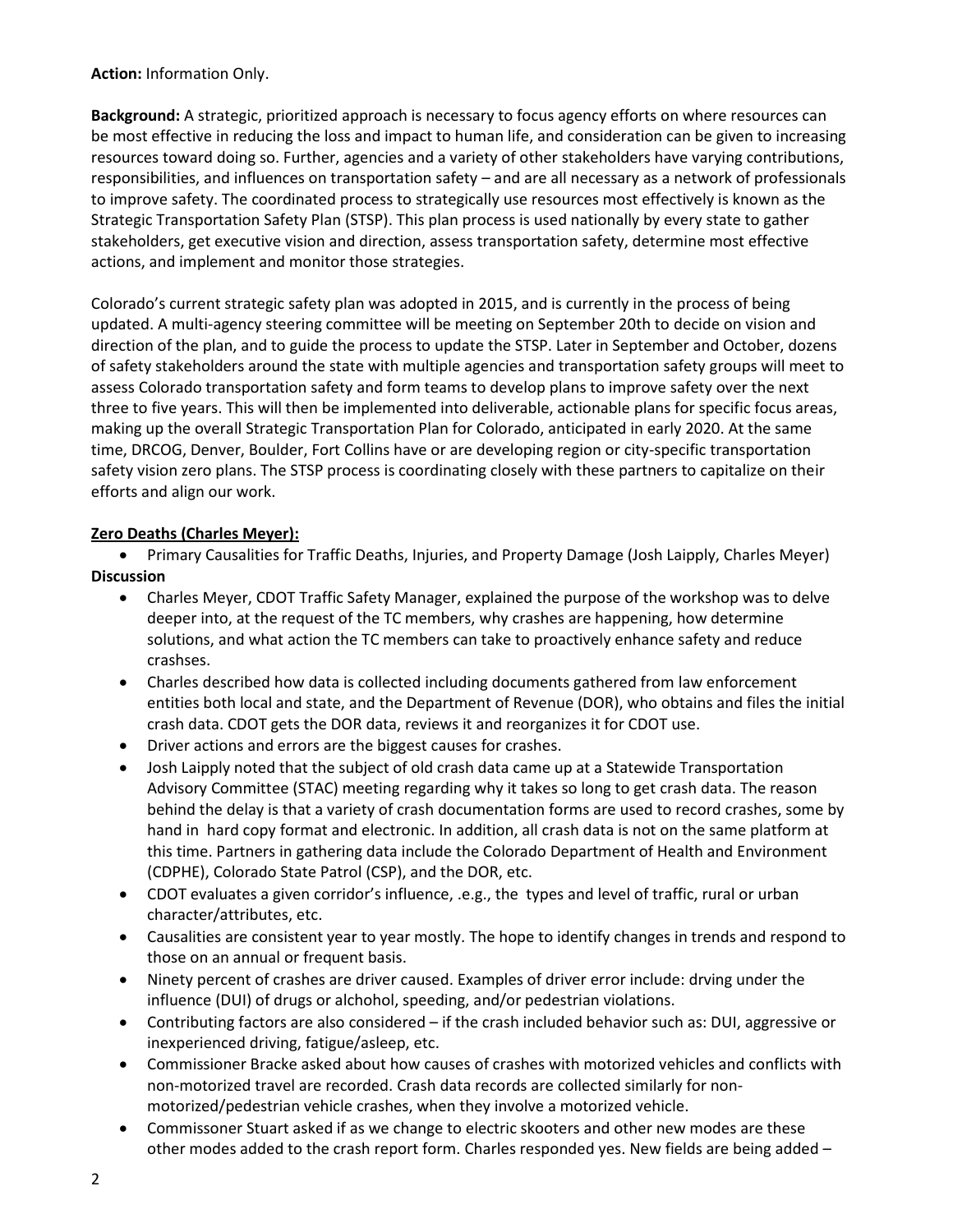#### **Action:** Information Only.

**Background:** A strategic, prioritized approach is necessary to focus agency efforts on where resources can be most effective in reducing the loss and impact to human life, and consideration can be given to increasing resources toward doing so. Further, agencies and a variety of other stakeholders have varying contributions, responsibilities, and influences on transportation safety – and are all necessary as a network of professionals to improve safety. The coordinated process to strategically use resources most effectively is known as the Strategic Transportation Safety Plan (STSP). This plan process is used nationally by every state to gather stakeholders, get executive vision and direction, assess transportation safety, determine most effective actions, and implement and monitor those strategies.

Colorado's current strategic safety plan was adopted in 2015, and is currently in the process of being updated. A multi-agency steering committee will be meeting on September 20th to decide on vision and direction of the plan, and to guide the process to update the STSP. Later in September and October, dozens of safety stakeholders around the state with multiple agencies and transportation safety groups will meet to assess Colorado transportation safety and form teams to develop plans to improve safety over the next three to five years. This will then be implemented into deliverable, actionable plans for specific focus areas, making up the overall Strategic Transportation Plan for Colorado, anticipated in early 2020. At the same time, DRCOG, Denver, Boulder, Fort Collins have or are developing region or city-specific transportation safety vision zero plans. The STSP process is coordinating closely with these partners to capitalize on their efforts and align our work.

## **Zero Deaths (Charles Meyer):**

 Primary Causalities for Traffic Deaths, Injuries, and Property Damage (Josh Laipply, Charles Meyer) **Discussion**

- Charles Meyer, CDOT Traffic Safety Manager, explained the purpose of the workshop was to delve deeper into, at the request of the TC members, why crashes are happening, how determine solutions, and what action the TC members can take to proactively enhance safety and reduce crashses.
- Charles described how data is collected including documents gathered from law enforcement entities both local and state, and the Department of Revenue (DOR), who obtains and files the initial crash data. CDOT gets the DOR data, reviews it and reorganizes it for CDOT use.
- Driver actions and errors are the biggest causes for crashes.
- Josh Laipply noted that the subject of old crash data came up at a Statewide Transportation Advisory Committee (STAC) meeting regarding why it takes so long to get crash data. The reason behind the delay is that a variety of crash documentation forms are used to record crashes, some by hand in hard copy format and electronic. In addition, all crash data is not on the same platform at this time. Partners in gathering data include the Colorado Department of Health and Environment (CDPHE), Colorado State Patrol (CSP), and the DOR, etc.
- CDOT evaluates a given corridor's influence, .e.g., the types and level of traffic, rural or urban character/attributes, etc.
- Causalities are consistent year to year mostly. The hope to identify changes in trends and respond to those on an annual or frequent basis.
- Ninety percent of crashes are driver caused. Examples of driver error include: drving under the influence (DUI) of drugs or alchohol, speeding, and/or pedestrian violations.
- Contributing factors are also considered if the crash included behavior such as: DUI, aggressive or inexperienced driving, fatigue/asleep, etc.
- Commissioner Bracke asked about how causes of crashes with motorized vehicles and conflicts with non-motorized travel are recorded. Crash data records are collected similarly for nonmotorized/pedestrian vehicle crashes, when they involve a motorized vehicle.
- Commissoner Stuart asked if as we change to electric skooters and other new modes are these other modes added to the crash report form. Charles responded yes. New fields are being added –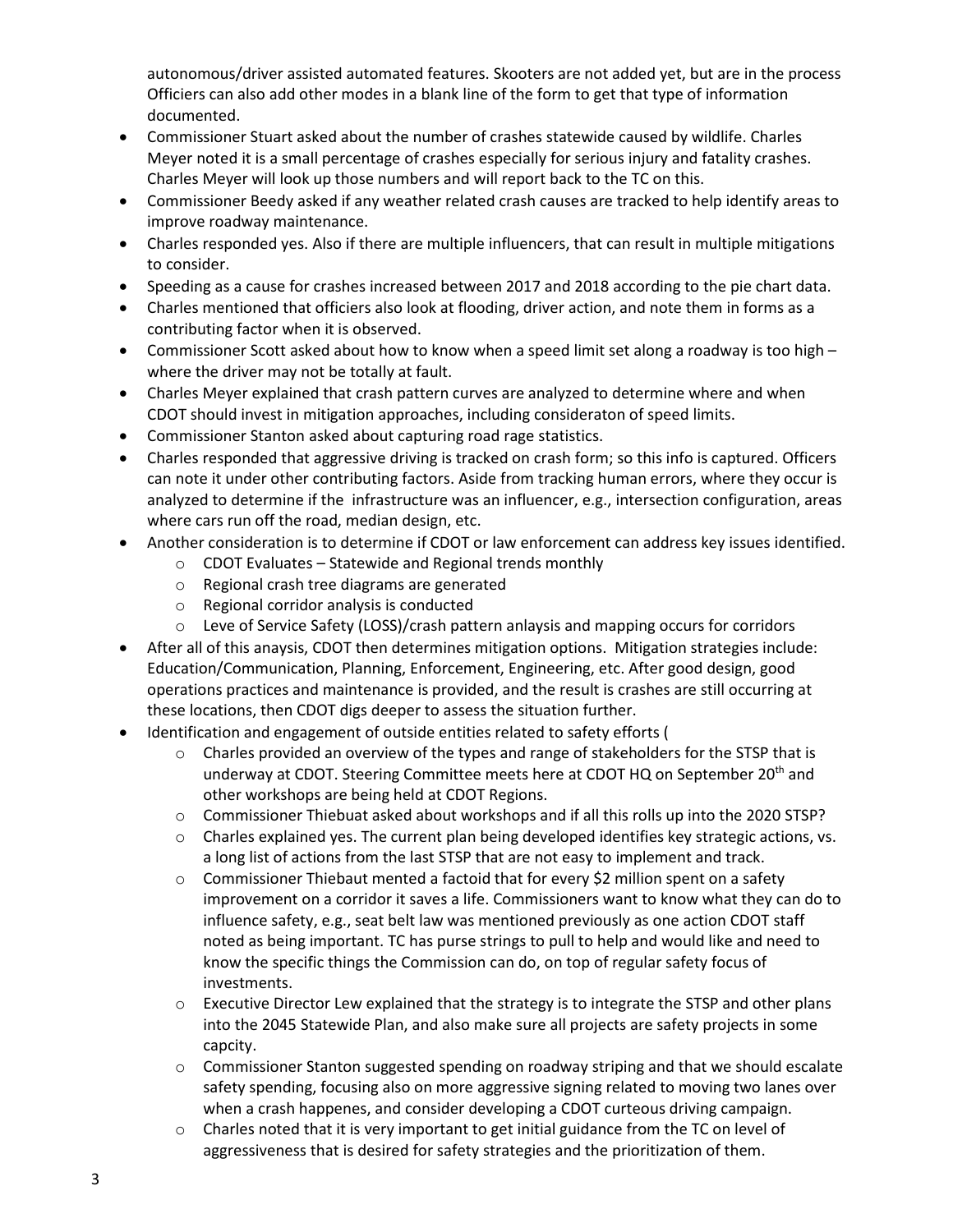autonomous/driver assisted automated features. Skooters are not added yet, but are in the process Officiers can also add other modes in a blank line of the form to get that type of information documented.

- Commissioner Stuart asked about the number of crashes statewide caused by wildlife. Charles Meyer noted it is a small percentage of crashes especially for serious injury and fatality crashes. Charles Meyer will look up those numbers and will report back to the TC on this.
- Commissioner Beedy asked if any weather related crash causes are tracked to help identify areas to improve roadway maintenance.
- Charles responded yes. Also if there are multiple influencers, that can result in multiple mitigations to consider.
- Speeding as a cause for crashes increased between 2017 and 2018 according to the pie chart data.
- Charles mentioned that officiers also look at flooding, driver action, and note them in forms as a contributing factor when it is observed.
- Commissioner Scott asked about how to know when a speed limit set along a roadway is too high where the driver may not be totally at fault.
- Charles Meyer explained that crash pattern curves are analyzed to determine where and when CDOT should invest in mitigation approaches, including consideraton of speed limits.
- Commissioner Stanton asked about capturing road rage statistics.
- Charles responded that aggressive driving is tracked on crash form; so this info is captured. Officers can note it under other contributing factors. Aside from tracking human errors, where they occur is analyzed to determine if the infrastructure was an influencer, e.g., intersection configuration, areas where cars run off the road, median design, etc.
- Another consideration is to determine if CDOT or law enforcement can address key issues identified.
	- o CDOT Evaluates Statewide and Regional trends monthly
	- o Regional crash tree diagrams are generated
	- o Regional corridor analysis is conducted
	- o Leve of Service Safety (LOSS)/crash pattern anlaysis and mapping occurs for corridors
- After all of this anaysis, CDOT then determines mitigation options. Mitigation strategies include: Education/Communication, Planning, Enforcement, Engineering, etc. After good design, good operations practices and maintenance is provided, and the result is crashes are still occurring at these locations, then CDOT digs deeper to assess the situation further.
- Identification and engagement of outside entities related to safety efforts (
	- o Charles provided an overview of the types and range of stakeholders for the STSP that is underway at CDOT. Steering Committee meets here at CDOT HQ on September 20<sup>th</sup> and other workshops are being held at CDOT Regions.
	- o Commissioner Thiebuat asked about workshops and if all this rolls up into the 2020 STSP?
	- o Charles explained yes. The current plan being developed identifies key strategic actions, vs. a long list of actions from the last STSP that are not easy to implement and track.
	- $\circ$  Commissioner Thiebaut mented a factoid that for every \$2 million spent on a safety improvement on a corridor it saves a life. Commissioners want to know what they can do to influence safety, e.g., seat belt law was mentioned previously as one action CDOT staff noted as being important. TC has purse strings to pull to help and would like and need to know the specific things the Commission can do, on top of regular safety focus of investments.
	- o Executive Director Lew explained that the strategy is to integrate the STSP and other plans into the 2045 Statewide Plan, and also make sure all projects are safety projects in some capcity.
	- o Commissioner Stanton suggested spending on roadway striping and that we should escalate safety spending, focusing also on more aggressive signing related to moving two lanes over when a crash happenes, and consider developing a CDOT curteous driving campaign.
	- $\circ$  Charles noted that it is very important to get initial guidance from the TC on level of aggressiveness that is desired for safety strategies and the prioritization of them.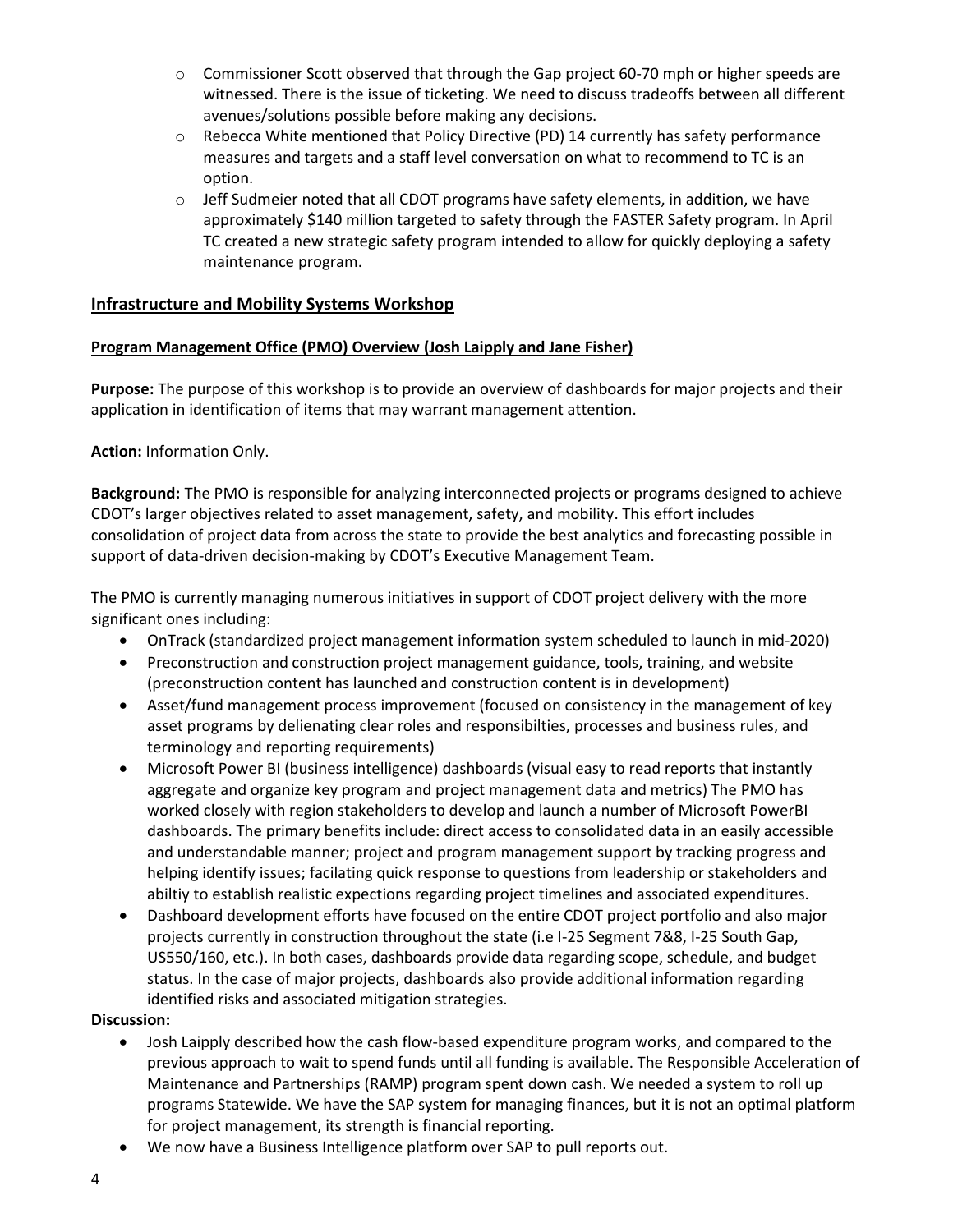- $\circ$  Commissioner Scott observed that through the Gap project 60-70 mph or higher speeds are witnessed. There is the issue of ticketing. We need to discuss tradeoffs between all different avenues/solutions possible before making any decisions.
- o Rebecca White mentioned that Policy Directive (PD) 14 currently has safety performance measures and targets and a staff level conversation on what to recommend to TC is an option.
- $\circ$  Jeff Sudmeier noted that all CDOT programs have safety elements, in addition, we have approximately \$140 million targeted to safety through the FASTER Safety program. In April TC created a new strategic safety program intended to allow for quickly deploying a safety maintenance program.

#### **Infrastructure and Mobility Systems Workshop**

#### **Program Management Office (PMO) Overview (Josh Laipply and Jane Fisher)**

**Purpose:** The purpose of this workshop is to provide an overview of dashboards for major projects and their application in identification of items that may warrant management attention.

#### **Action:** Information Only.

**Background:** The PMO is responsible for analyzing interconnected projects or programs designed to achieve CDOT's larger objectives related to asset management, safety, and mobility. This effort includes consolidation of project data from across the state to provide the best analytics and forecasting possible in support of data-driven decision-making by CDOT's Executive Management Team.

The PMO is currently managing numerous initiatives in support of CDOT project delivery with the more significant ones including:

- OnTrack (standardized project management information system scheduled to launch in mid-2020)
- Preconstruction and construction project management guidance, tools, training, and website (preconstruction content has launched and construction content is in development)
- Asset/fund management process improvement (focused on consistency in the management of key asset programs by delienating clear roles and responsibilties, processes and business rules, and terminology and reporting requirements)
- Microsoft Power BI (business intelligence) dashboards (visual easy to read reports that instantly aggregate and organize key program and project management data and metrics) The PMO has worked closely with region stakeholders to develop and launch a number of Microsoft PowerBI dashboards. The primary benefits include: direct access to consolidated data in an easily accessible and understandable manner; project and program management support by tracking progress and helping identify issues; facilating quick response to questions from leadership or stakeholders and abiltiy to establish realistic expections regarding project timelines and associated expenditures.
- Dashboard development efforts have focused on the entire CDOT project portfolio and also major projects currently in construction throughout the state (i.e I-25 Segment 7&8, I-25 South Gap, US550/160, etc.). In both cases, dashboards provide data regarding scope, schedule, and budget status. In the case of major projects, dashboards also provide additional information regarding identified risks and associated mitigation strategies.

- Josh Laipply described how the cash flow-based expenditure program works, and compared to the previous approach to wait to spend funds until all funding is available. The Responsible Acceleration of Maintenance and Partnerships (RAMP) program spent down cash. We needed a system to roll up programs Statewide. We have the SAP system for managing finances, but it is not an optimal platform for project management, its strength is financial reporting.
- We now have a Business Intelligence platform over SAP to pull reports out.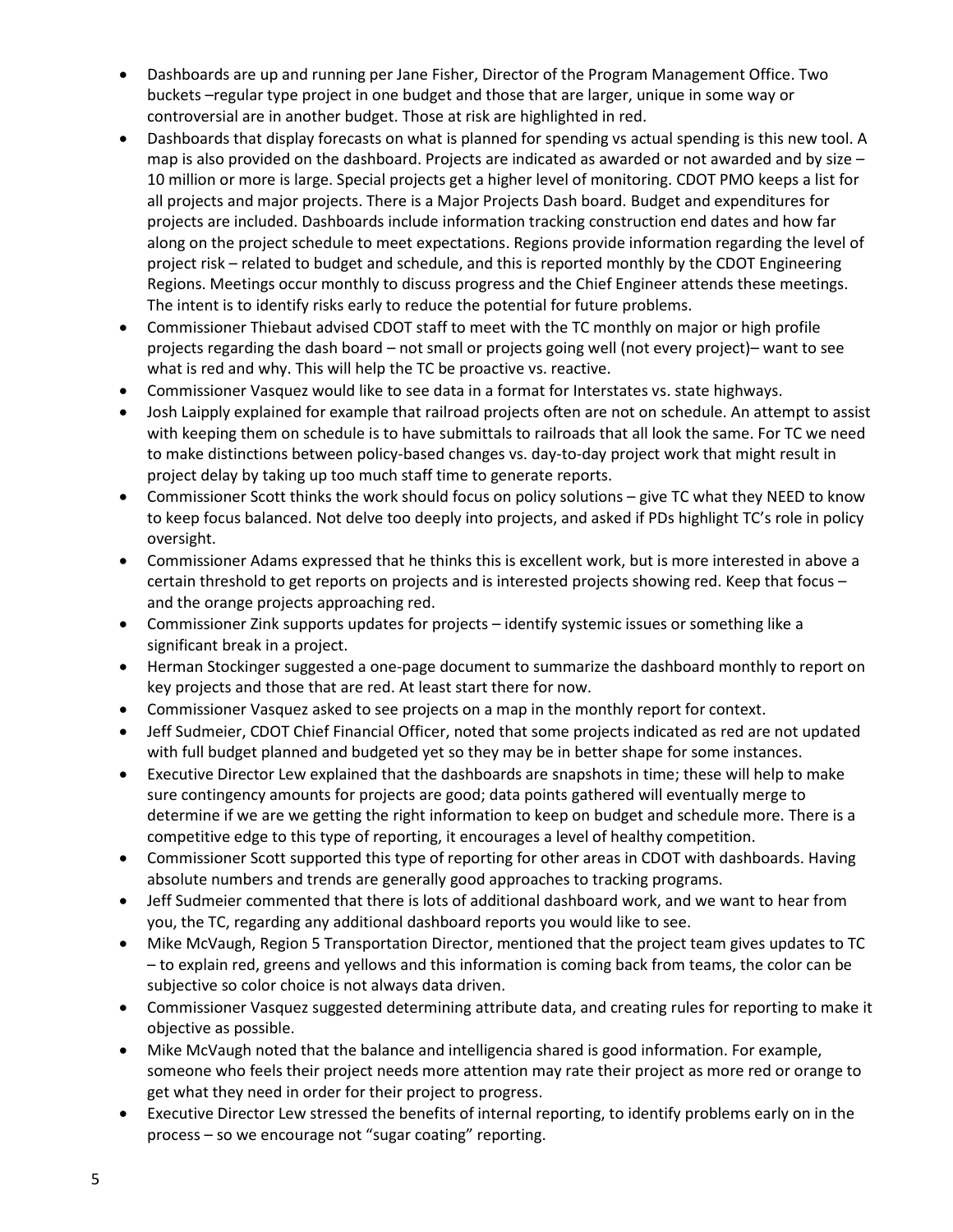- Dashboards are up and running per Jane Fisher, Director of the Program Management Office. Two buckets –regular type project in one budget and those that are larger, unique in some way or controversial are in another budget. Those at risk are highlighted in red.
- Dashboards that display forecasts on what is planned for spending vs actual spending is this new tool. A map is also provided on the dashboard. Projects are indicated as awarded or not awarded and by size  $-$ 10 million or more is large. Special projects get a higher level of monitoring. CDOT PMO keeps a list for all projects and major projects. There is a Major Projects Dash board. Budget and expenditures for projects are included. Dashboards include information tracking construction end dates and how far along on the project schedule to meet expectations. Regions provide information regarding the level of project risk – related to budget and schedule, and this is reported monthly by the CDOT Engineering Regions. Meetings occur monthly to discuss progress and the Chief Engineer attends these meetings. The intent is to identify risks early to reduce the potential for future problems.
- Commissioner Thiebaut advised CDOT staff to meet with the TC monthly on major or high profile projects regarding the dash board – not small or projects going well (not every project)– want to see what is red and why. This will help the TC be proactive vs. reactive.
- Commissioner Vasquez would like to see data in a format for Interstates vs. state highways.
- Josh Laipply explained for example that railroad projects often are not on schedule. An attempt to assist with keeping them on schedule is to have submittals to railroads that all look the same. For TC we need to make distinctions between policy-based changes vs. day-to-day project work that might result in project delay by taking up too much staff time to generate reports.
- Commissioner Scott thinks the work should focus on policy solutions give TC what they NEED to know to keep focus balanced. Not delve too deeply into projects, and asked if PDs highlight TC's role in policy oversight.
- Commissioner Adams expressed that he thinks this is excellent work, but is more interested in above a certain threshold to get reports on projects and is interested projects showing red. Keep that focus – and the orange projects approaching red.
- Commissioner Zink supports updates for projects identify systemic issues or something like a significant break in a project.
- Herman Stockinger suggested a one-page document to summarize the dashboard monthly to report on key projects and those that are red. At least start there for now.
- Commissioner Vasquez asked to see projects on a map in the monthly report for context.
- Jeff Sudmeier, CDOT Chief Financial Officer, noted that some projects indicated as red are not updated with full budget planned and budgeted yet so they may be in better shape for some instances.
- Executive Director Lew explained that the dashboards are snapshots in time; these will help to make sure contingency amounts for projects are good; data points gathered will eventually merge to determine if we are we getting the right information to keep on budget and schedule more. There is a competitive edge to this type of reporting, it encourages a level of healthy competition.
- Commissioner Scott supported this type of reporting for other areas in CDOT with dashboards. Having absolute numbers and trends are generally good approaches to tracking programs.
- Jeff Sudmeier commented that there is lots of additional dashboard work, and we want to hear from you, the TC, regarding any additional dashboard reports you would like to see.
- Mike McVaugh, Region 5 Transportation Director, mentioned that the project team gives updates to TC – to explain red, greens and yellows and this information is coming back from teams, the color can be subjective so color choice is not always data driven.
- Commissioner Vasquez suggested determining attribute data, and creating rules for reporting to make it objective as possible.
- Mike McVaugh noted that the balance and intelligencia shared is good information. For example, someone who feels their project needs more attention may rate their project as more red or orange to get what they need in order for their project to progress.
- Executive Director Lew stressed the benefits of internal reporting, to identify problems early on in the process – so we encourage not "sugar coating" reporting.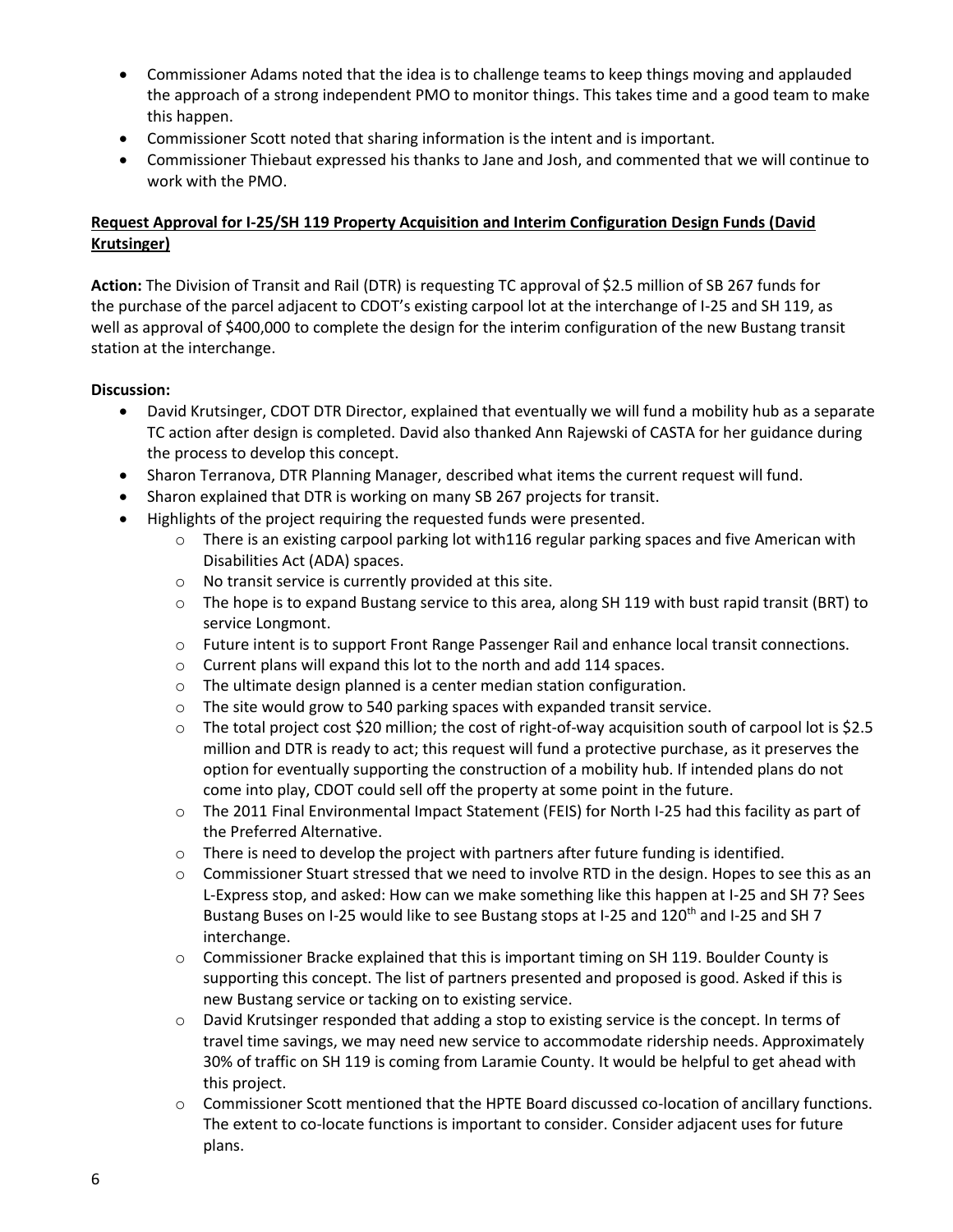- Commissioner Adams noted that the idea is to challenge teams to keep things moving and applauded the approach of a strong independent PMO to monitor things. This takes time and a good team to make this happen.
- Commissioner Scott noted that sharing information is the intent and is important.
- Commissioner Thiebaut expressed his thanks to Jane and Josh, and commented that we will continue to work with the PMO.

#### **Request Approval for I-25/SH 119 Property Acquisition and Interim Configuration Design Funds (David Krutsinger)**

**Action:** The Division of Transit and Rail (DTR) is requesting TC approval of \$2.5 million of SB 267 funds for the purchase of the parcel adjacent to CDOT's existing carpool lot at the interchange of I-25 and SH 119, as well as approval of \$400,000 to complete the design for the interim configuration of the new Bustang transit station at the interchange.

- David Krutsinger, CDOT DTR Director, explained that eventually we will fund a mobility hub as a separate TC action after design is completed. David also thanked Ann Rajewski of CASTA for her guidance during the process to develop this concept.
- Sharon Terranova, DTR Planning Manager, described what items the current request will fund.
- Sharon explained that DTR is working on many SB 267 projects for transit.
- Highlights of the project requiring the requested funds were presented.
	- o There is an existing carpool parking lot with116 regular parking spaces and five American with Disabilities Act (ADA) spaces.
	- o No transit service is currently provided at this site.
	- o The hope is to expand Bustang service to this area, along SH 119 with bust rapid transit (BRT) to service Longmont.
	- o Future intent is to support Front Range Passenger Rail and enhance local transit connections.
	- o Current plans will expand this lot to the north and add 114 spaces.
	- o The ultimate design planned is a center median station configuration.
	- o The site would grow to 540 parking spaces with expanded transit service.
	- o The total project cost \$20 million; the cost of right-of-way acquisition south of carpool lot is \$2.5 million and DTR is ready to act; this request will fund a protective purchase, as it preserves the option for eventually supporting the construction of a mobility hub. If intended plans do not come into play, CDOT could sell off the property at some point in the future.
	- o The 2011 Final Environmental Impact Statement (FEIS) for North I-25 had this facility as part of the Preferred Alternative.
	- $\circ$  There is need to develop the project with partners after future funding is identified.
	- $\circ$  Commissioner Stuart stressed that we need to involve RTD in the design. Hopes to see this as an L-Express stop, and asked: How can we make something like this happen at I-25 and SH 7? Sees Bustang Buses on I-25 would like to see Bustang stops at I-25 and 120<sup>th</sup> and I-25 and SH 7 interchange.
	- o Commissioner Bracke explained that this is important timing on SH 119. Boulder County is supporting this concept. The list of partners presented and proposed is good. Asked if this is new Bustang service or tacking on to existing service.
	- o David Krutsinger responded that adding a stop to existing service is the concept. In terms of travel time savings, we may need new service to accommodate ridership needs. Approximately 30% of traffic on SH 119 is coming from Laramie County. It would be helpful to get ahead with this project.
	- o Commissioner Scott mentioned that the HPTE Board discussed co-location of ancillary functions. The extent to co-locate functions is important to consider. Consider adjacent uses for future plans.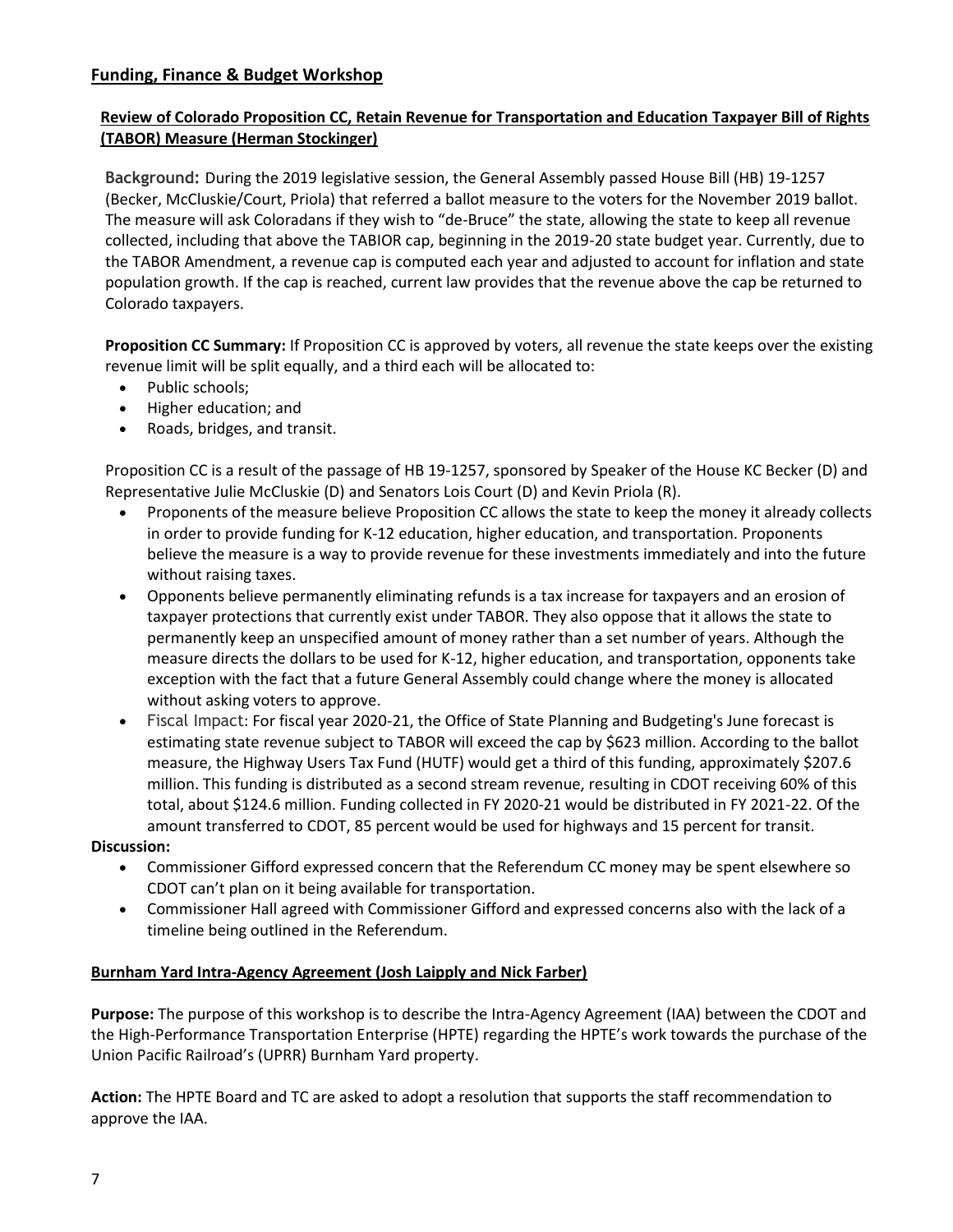#### **Funding, Finance & Budget Workshop**

## **Review of Colorado Proposition CC, Retain Revenue for Transportation and Education Taxpayer Bill of Rights (TABOR) Measure (Herman Stockinger)**

**Background:** During the 2019 legislative session, the General Assembly passed House Bill (HB) 19-1257 (Becker, McCluskie/Court, Priola) that referred a ballot measure to the voters for the November 2019 ballot. The measure will ask Coloradans if they wish to "de-Bruce" the state, allowing the state to keep all revenue collected, including that above the TABIOR cap, beginning in the 2019-20 state budget year. Currently, due to the TABOR Amendment, a revenue cap is computed each year and adjusted to account for inflation and state population growth. If the cap is reached, current law provides that the revenue above the cap be returned to Colorado taxpayers.

**Proposition CC Summary:** If Proposition CC is approved by voters, all revenue the state keeps over the existing revenue limit will be split equally, and a third each will be allocated to:

- Public schools;
- Higher education; and
- Roads, bridges, and transit.

Proposition CC is a result of the passage of HB 19-1257, sponsored by Speaker of the House KC Becker (D) and Representative Julie McCluskie (D) and Senators Lois Court (D) and Kevin Priola (R).

- Proponents of the measure believe Proposition CC allows the state to keep the money it already collects in order to provide funding for K-12 education, higher education, and transportation. Proponents believe the measure is a way to provide revenue for these investments immediately and into the future without raising taxes.
- Opponents believe permanently eliminating refunds is a tax increase for taxpayers and an erosion of taxpayer protections that currently exist under TABOR. They also oppose that it allows the state to permanently keep an unspecified amount of money rather than a set number of years. Although the measure directs the dollars to be used for K-12, higher education, and transportation, opponents take exception with the fact that a future General Assembly could change where the money is allocated without asking voters to approve.
- Fiscal Impact: For fiscal year 2020-21, the Office of State Planning and Budgeting's June forecast is estimating state revenue subject to TABOR will exceed the cap by \$623 million. According to the ballot measure, the Highway Users Tax Fund (HUTF) would get a third of this funding, approximately \$207.6 million. This funding is distributed as a second stream revenue, resulting in CDOT receiving 60% of this total, about \$124.6 million. Funding collected in FY 2020-21 would be distributed in FY 2021-22. Of the amount transferred to CDOT, 85 percent would be used for highways and 15 percent for transit.

#### **Discussion:**

- Commissioner Gifford expressed concern that the Referendum CC money may be spent elsewhere so CDOT can't plan on it being available for transportation.
- Commissioner Hall agreed with Commissioner Gifford and expressed concerns also with the lack of a timeline being outlined in the Referendum.

#### **Burnham Yard Intra-Agency Agreement (Josh Laipply and Nick Farber)**

**Purpose:** The purpose of this workshop is to describe the Intra-Agency Agreement (IAA) between the CDOT and the High-Performance Transportation Enterprise (HPTE) regarding the HPTE's work towards the purchase of the Union Pacific Railroad's (UPRR) Burnham Yard property.

**Action:** The HPTE Board and TC are asked to adopt a resolution that supports the staff recommendation to approve the IAA.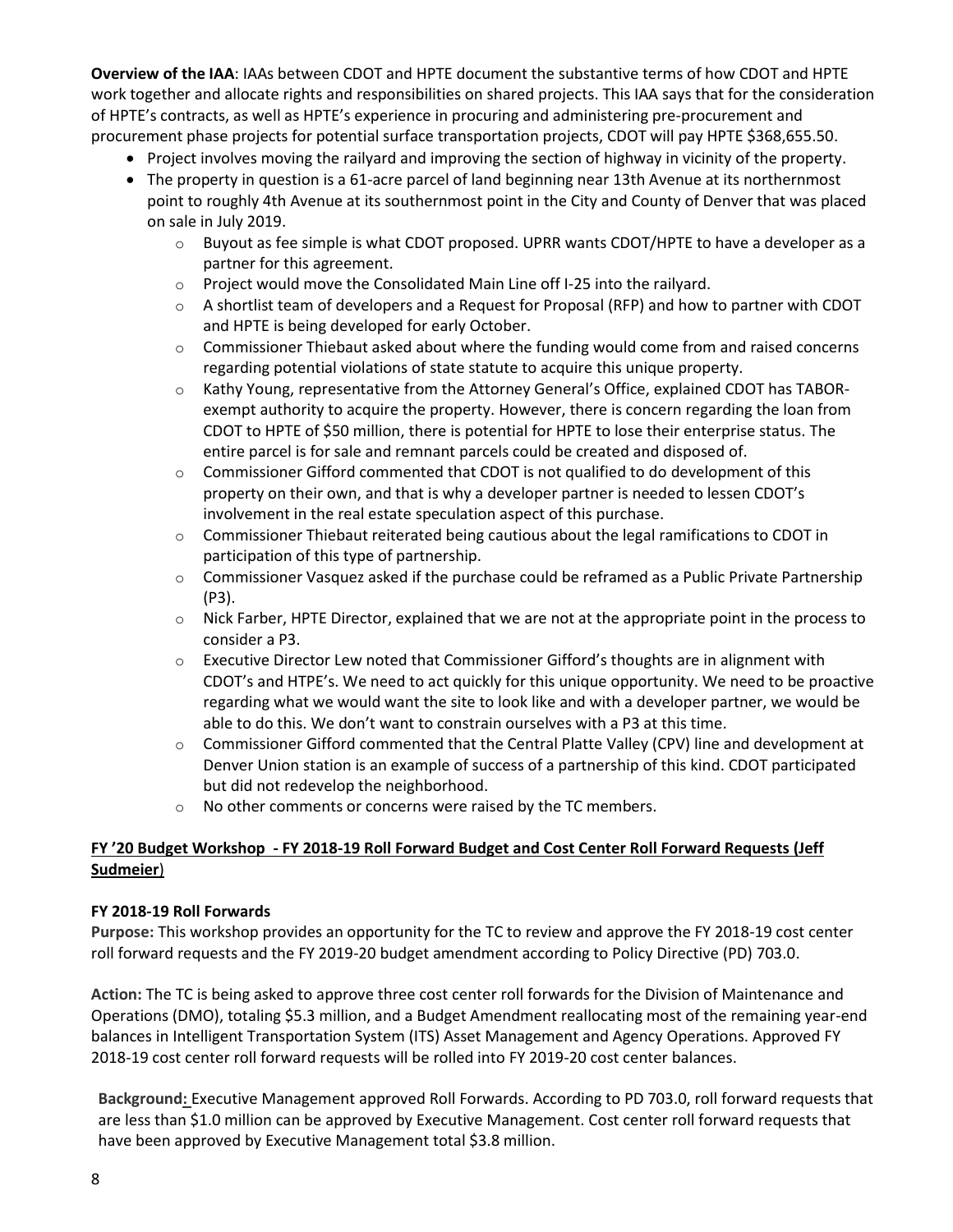**Overview of the IAA**: IAAs between CDOT and HPTE document the substantive terms of how CDOT and HPTE work together and allocate rights and responsibilities on shared projects. This IAA says that for the consideration of HPTE's contracts, as well as HPTE's experience in procuring and administering pre-procurement and procurement phase projects for potential surface transportation projects, CDOT will pay HPTE \$368,655.50.

- Project involves moving the railyard and improving the section of highway in vicinity of the property.
- The property in question is a 61-acre parcel of land beginning near 13th Avenue at its northernmost point to roughly 4th Avenue at its southernmost point in the City and County of Denver that was placed on sale in July 2019.
	- $\circ$  Buyout as fee simple is what CDOT proposed. UPRR wants CDOT/HPTE to have a developer as a partner for this agreement.
	- o Project would move the Consolidated Main Line off I-25 into the railyard.
	- $\circ$  A shortlist team of developers and a Request for Proposal (RFP) and how to partner with CDOT and HPTE is being developed for early October.
	- $\circ$  Commissioner Thiebaut asked about where the funding would come from and raised concerns regarding potential violations of state statute to acquire this unique property.
	- o Kathy Young, representative from the Attorney General's Office, explained CDOT has TABORexempt authority to acquire the property. However, there is concern regarding the loan from CDOT to HPTE of \$50 million, there is potential for HPTE to lose their enterprise status. The entire parcel is for sale and remnant parcels could be created and disposed of.
	- $\circ$  Commissioner Gifford commented that CDOT is not qualified to do development of this property on their own, and that is why a developer partner is needed to lessen CDOT's involvement in the real estate speculation aspect of this purchase.
	- $\circ$  Commissioner Thiebaut reiterated being cautious about the legal ramifications to CDOT in participation of this type of partnership.
	- $\circ$  Commissioner Vasquez asked if the purchase could be reframed as a Public Private Partnership (P3).
	- $\circ$  Nick Farber, HPTE Director, explained that we are not at the appropriate point in the process to consider a P3.
	- $\circ$  Executive Director Lew noted that Commissioner Gifford's thoughts are in alignment with CDOT's and HTPE's. We need to act quickly for this unique opportunity. We need to be proactive regarding what we would want the site to look like and with a developer partner, we would be able to do this. We don't want to constrain ourselves with a P3 at this time.
	- o Commissioner Gifford commented that the Central Platte Valley (CPV) line and development at Denver Union station is an example of success of a partnership of this kind. CDOT participated but did not redevelop the neighborhood.
	- o No other comments or concerns were raised by the TC members.

# **FY '20 Budget Workshop - FY 2018-19 Roll Forward Budget and Cost Center Roll Forward Requests (Jeff Sudmeier**)

#### **FY 2018-19 Roll Forwards**

**Purpose:** This workshop provides an opportunity for the TC to review and approve the FY 2018-19 cost center roll forward requests and the FY 2019-20 budget amendment according to Policy Directive (PD) 703.0.

**Action:** The TC is being asked to approve three cost center roll forwards for the Division of Maintenance and Operations (DMO), totaling \$5.3 million, and a Budget Amendment reallocating most of the remaining year-end balances in Intelligent Transportation System (ITS) Asset Management and Agency Operations. Approved FY 2018-19 cost center roll forward requests will be rolled into FY 2019-20 cost center balances.

**Background:** Executive Management approved Roll Forwards. According to PD 703.0, roll forward requests that are less than \$1.0 million can be approved by Executive Management. Cost center roll forward requests that have been approved by Executive Management total \$3.8 million.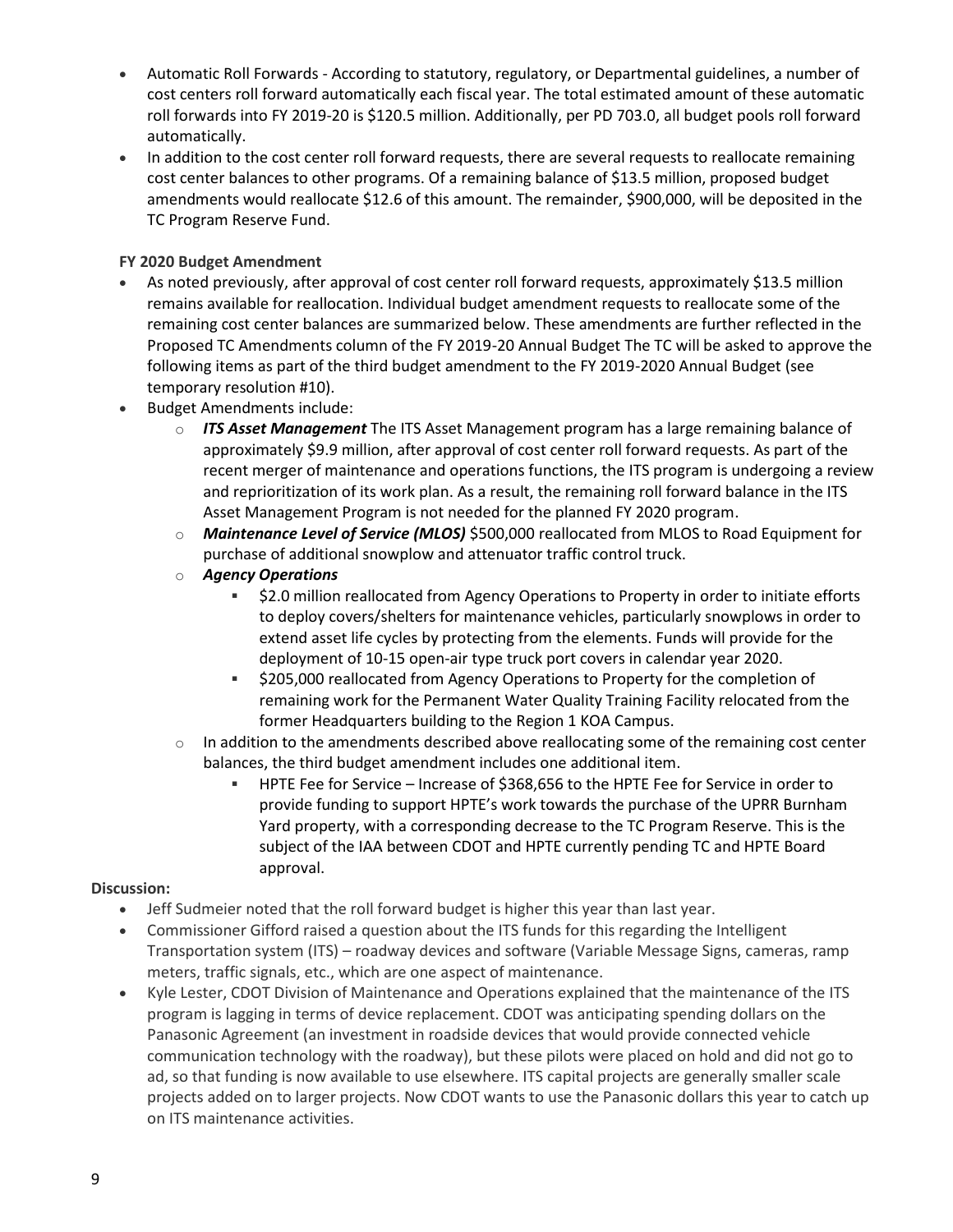- Automatic Roll Forwards According to statutory, regulatory, or Departmental guidelines, a number of cost centers roll forward automatically each fiscal year. The total estimated amount of these automatic roll forwards into FY 2019-20 is \$120.5 million. Additionally, per PD 703.0, all budget pools roll forward automatically.
- In addition to the cost center roll forward requests, there are several requests to reallocate remaining cost center balances to other programs. Of a remaining balance of \$13.5 million, proposed budget amendments would reallocate \$12.6 of this amount. The remainder, \$900,000, will be deposited in the TC Program Reserve Fund.

#### **FY 2020 Budget Amendment**

- As noted previously, after approval of cost center roll forward requests, approximately \$13.5 million remains available for reallocation. Individual budget amendment requests to reallocate some of the remaining cost center balances are summarized below. These amendments are further reflected in the Proposed TC Amendments column of the FY 2019-20 Annual Budget The TC will be asked to approve the following items as part of the third budget amendment to the FY 2019-2020 Annual Budget (see temporary resolution #10).
- Budget Amendments include:
	- o *ITS Asset Management* The ITS Asset Management program has a large remaining balance of approximately \$9.9 million, after approval of cost center roll forward requests. As part of the recent merger of maintenance and operations functions, the ITS program is undergoing a review and reprioritization of its work plan. As a result, the remaining roll forward balance in the ITS Asset Management Program is not needed for the planned FY 2020 program.
	- o *Maintenance Level of Service (MLOS)* \$500,000 reallocated from MLOS to Road Equipment for purchase of additional snowplow and attenuator traffic control truck.
	- o *Agency Operations* 
		- **52.0 million reallocated from Agency Operations to Property in order to initiate efforts** to deploy covers/shelters for maintenance vehicles, particularly snowplows in order to extend asset life cycles by protecting from the elements. Funds will provide for the deployment of 10-15 open-air type truck port covers in calendar year 2020.
		- \$205,000 reallocated from Agency Operations to Property for the completion of remaining work for the Permanent Water Quality Training Facility relocated from the former Headquarters building to the Region 1 KOA Campus.
	- In addition to the amendments described above reallocating some of the remaining cost center balances, the third budget amendment includes one additional item.
		- HPTE Fee for Service Increase of \$368,656 to the HPTE Fee for Service in order to provide funding to support HPTE's work towards the purchase of the UPRR Burnham Yard property, with a corresponding decrease to the TC Program Reserve. This is the subject of the IAA between CDOT and HPTE currently pending TC and HPTE Board approval.

- Jeff Sudmeier noted that the roll forward budget is higher this year than last year.
- Commissioner Gifford raised a question about the ITS funds for this regarding the Intelligent Transportation system (ITS) – roadway devices and software (Variable Message Signs, cameras, ramp meters, traffic signals, etc., which are one aspect of maintenance.
- Kyle Lester, CDOT Division of Maintenance and Operations explained that the maintenance of the ITS program is lagging in terms of device replacement. CDOT was anticipating spending dollars on the Panasonic Agreement (an investment in roadside devices that would provide connected vehicle communication technology with the roadway), but these pilots were placed on hold and did not go to ad, so that funding is now available to use elsewhere. ITS capital projects are generally smaller scale projects added on to larger projects. Now CDOT wants to use the Panasonic dollars this year to catch up on ITS maintenance activities.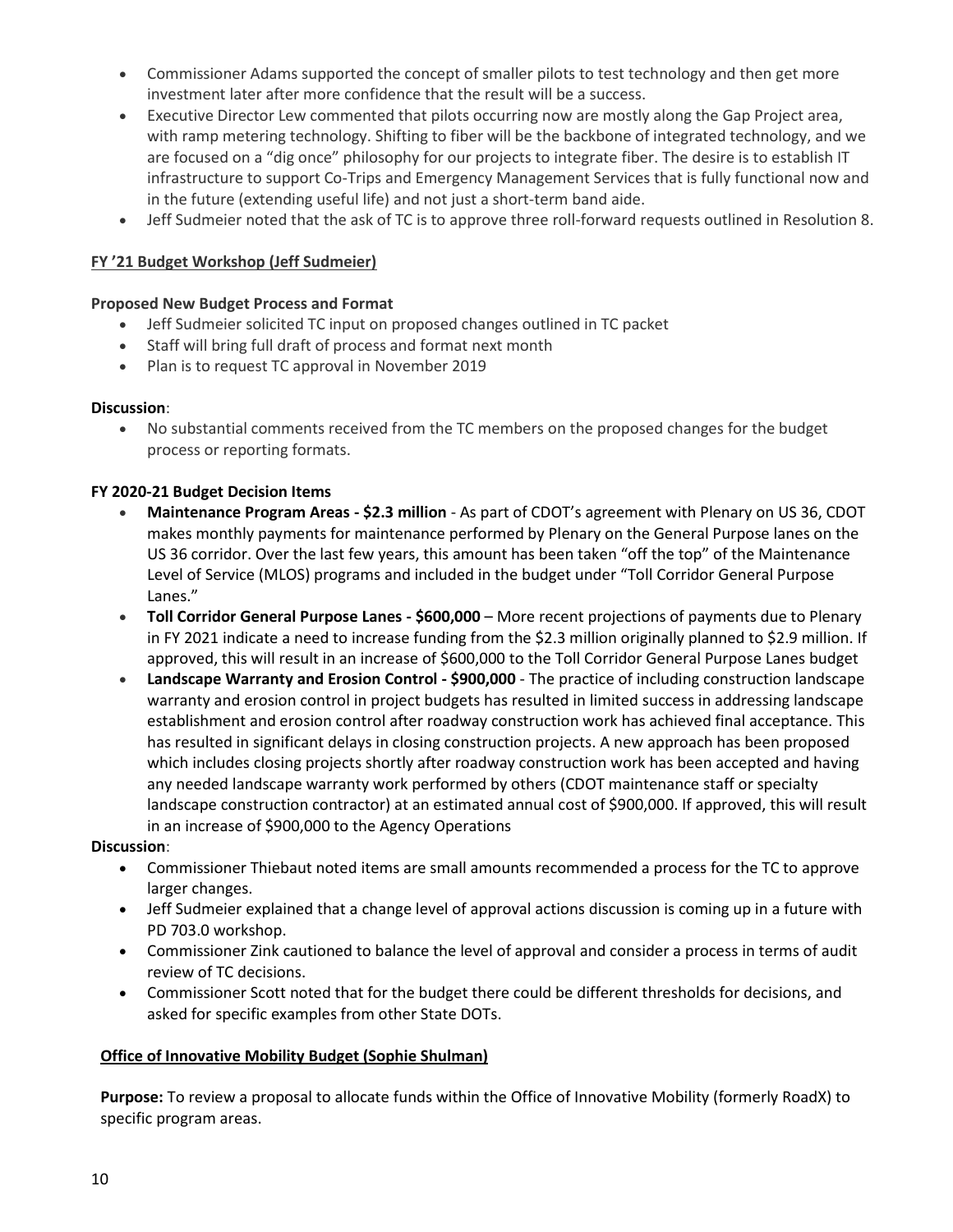- Commissioner Adams supported the concept of smaller pilots to test technology and then get more investment later after more confidence that the result will be a success.
- Executive Director Lew commented that pilots occurring now are mostly along the Gap Project area, with ramp metering technology. Shifting to fiber will be the backbone of integrated technology, and we are focused on a "dig once" philosophy for our projects to integrate fiber. The desire is to establish IT infrastructure to support Co-Trips and Emergency Management Services that is fully functional now and in the future (extending useful life) and not just a short-term band aide.
- Jeff Sudmeier noted that the ask of TC is to approve three roll-forward requests outlined in Resolution 8.

#### **FY '21 Budget Workshop (Jeff Sudmeier)**

#### **Proposed New Budget Process and Format**

- Jeff Sudmeier solicited TC input on proposed changes outlined in TC packet
- Staff will bring full draft of process and format next month
- Plan is to request TC approval in November 2019

#### **Discussion**:

 No substantial comments received from the TC members on the proposed changes for the budget process or reporting formats.

#### **FY 2020-21 Budget Decision Items**

- **Maintenance Program Areas - \$2.3 million** As part of CDOT's agreement with Plenary on US 36, CDOT makes monthly payments for maintenance performed by Plenary on the General Purpose lanes on the US 36 corridor. Over the last few years, this amount has been taken "off the top" of the Maintenance Level of Service (MLOS) programs and included in the budget under "Toll Corridor General Purpose Lanes."
- **Toll Corridor General Purpose Lanes - \$600,000** More recent projections of payments due to Plenary in FY 2021 indicate a need to increase funding from the \$2.3 million originally planned to \$2.9 million. If approved, this will result in an increase of \$600,000 to the Toll Corridor General Purpose Lanes budget
- **Landscape Warranty and Erosion Control - \$900,000** The practice of including construction landscape warranty and erosion control in project budgets has resulted in limited success in addressing landscape establishment and erosion control after roadway construction work has achieved final acceptance. This has resulted in significant delays in closing construction projects. A new approach has been proposed which includes closing projects shortly after roadway construction work has been accepted and having any needed landscape warranty work performed by others (CDOT maintenance staff or specialty landscape construction contractor) at an estimated annual cost of \$900,000. If approved, this will result in an increase of \$900,000 to the Agency Operations

#### **Discussion**:

- Commissioner Thiebaut noted items are small amounts recommended a process for the TC to approve larger changes.
- Jeff Sudmeier explained that a change level of approval actions discussion is coming up in a future with PD 703.0 workshop.
- Commissioner Zink cautioned to balance the level of approval and consider a process in terms of audit review of TC decisions.
- Commissioner Scott noted that for the budget there could be different thresholds for decisions, and asked for specific examples from other State DOTs.

#### **Office of Innovative Mobility Budget (Sophie Shulman)**

**Purpose:** To review a proposal to allocate funds within the Office of Innovative Mobility (formerly RoadX) to specific program areas.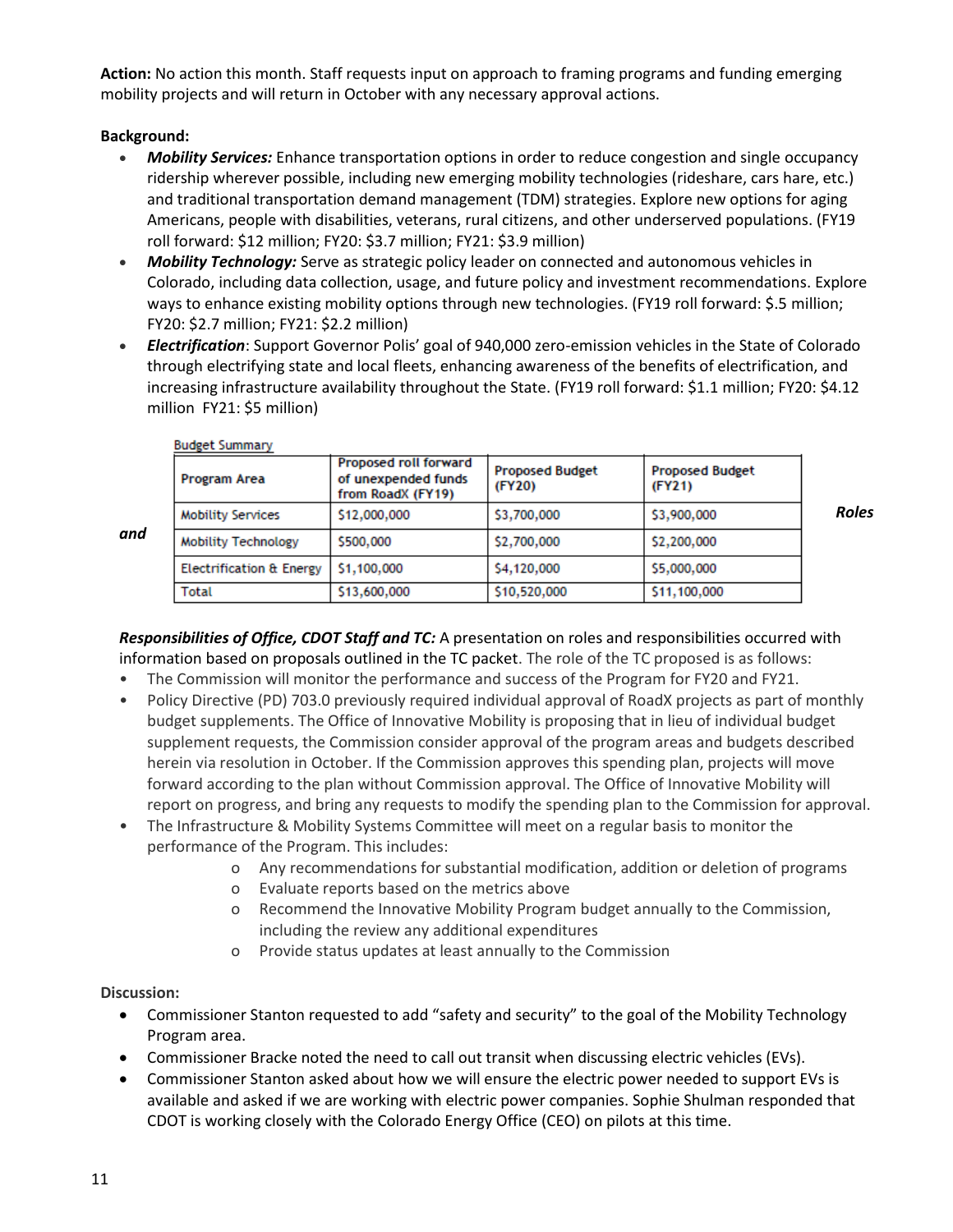**Action:** No action this month. Staff requests input on approach to framing programs and funding emerging mobility projects and will return in October with any necessary approval actions.

# **Background:**

- *Mobility Services:* Enhance transportation options in order to reduce congestion and single occupancy ridership wherever possible, including new emerging mobility technologies (rideshare, cars hare, etc.) and traditional transportation demand management (TDM) strategies. Explore new options for aging Americans, people with disabilities, veterans, rural citizens, and other underserved populations. (FY19 roll forward: \$12 million; FY20: \$3.7 million; FY21: \$3.9 million)
- *Mobility Technology:* Serve as strategic policy leader on connected and autonomous vehicles in Colorado, including data collection, usage, and future policy and investment recommendations. Explore ways to enhance existing mobility options through new technologies. (FY19 roll forward: \$.5 million; FY20: \$2.7 million; FY21: \$2.2 million)
- *Electrification*: Support Governor Polis' goal of 940,000 zero-emission vehicles in the State of Colorado through electrifying state and local fleets, enhancing awareness of the benefits of electrification, and increasing infrastructure availability throughout the State. (FY19 roll forward: \$1.1 million; FY20: \$4.12 million FY21: \$5 million)

| Program Area                        | <b>Proposed roll forward</b><br>of unexpended funds<br>from RoadX (FY19) | <b>Proposed Budget</b><br>(FY20) | <b>Proposed Budget</b><br>(FY21) |              |
|-------------------------------------|--------------------------------------------------------------------------|----------------------------------|----------------------------------|--------------|
| <b>Mobility Services</b>            | \$12,000,000                                                             | \$3,700,000                      | \$3,900,000                      | <b>Roles</b> |
| <b>Mobility Technology</b>          | \$500,000                                                                | \$2,700,000                      | \$2,200,000                      |              |
| <b>Electrification &amp; Energy</b> | \$1,100,000                                                              | \$4,120,000                      | \$5,000,000                      |              |
| Total                               | \$13,600,000                                                             | \$10,520,000                     | \$11,100,000                     |              |

**Budget Summary** 

*and* 

*Responsibilities of Office, CDOT Staff and TC:* A presentation on roles and responsibilities occurred with information based on proposals outlined in the TC packet. The role of the TC proposed is as follows:

- The Commission will monitor the performance and success of the Program for FY20 and FY21.
- Policy Directive (PD) 703.0 previously required individual approval of RoadX projects as part of monthly budget supplements. The Office of Innovative Mobility is proposing that in lieu of individual budget supplement requests, the Commission consider approval of the program areas and budgets described herein via resolution in October. If the Commission approves this spending plan, projects will move forward according to the plan without Commission approval. The Office of Innovative Mobility will report on progress, and bring any requests to modify the spending plan to the Commission for approval.
- The Infrastructure & Mobility Systems Committee will meet on a regular basis to monitor the performance of the Program. This includes:
	- o Any recommendations for substantial modification, addition or deletion of programs
	- o Evaluate reports based on the metrics above
	- o Recommend the Innovative Mobility Program budget annually to the Commission, including the review any additional expenditures
	- o Provide status updates at least annually to the Commission

- Commissioner Stanton requested to add "safety and security" to the goal of the Mobility Technology Program area.
- Commissioner Bracke noted the need to call out transit when discussing electric vehicles (EVs).
- Commissioner Stanton asked about how we will ensure the electric power needed to support EVs is available and asked if we are working with electric power companies. Sophie Shulman responded that CDOT is working closely with the Colorado Energy Office (CEO) on pilots at this time.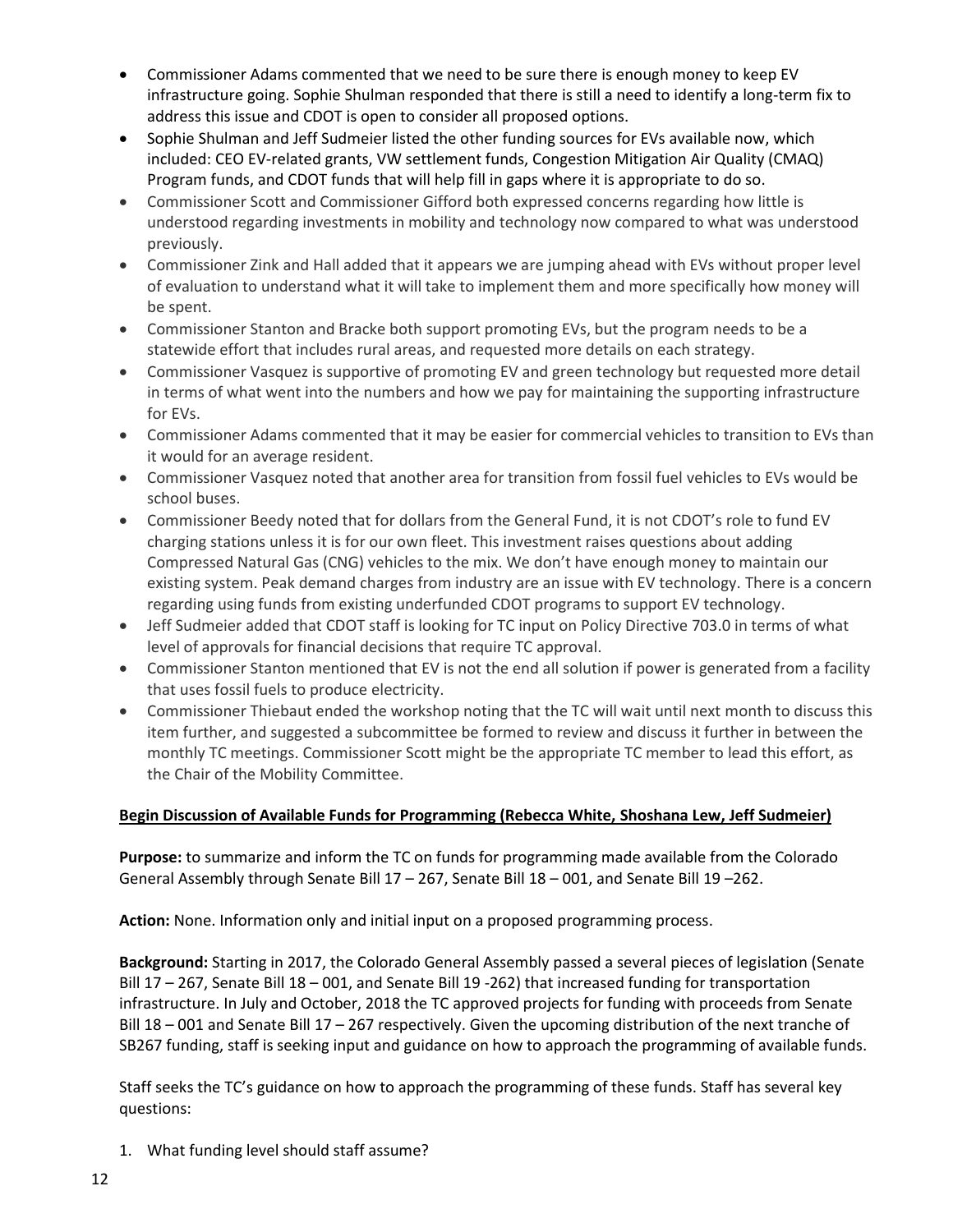- Commissioner Adams commented that we need to be sure there is enough money to keep EV infrastructure going. Sophie Shulman responded that there is still a need to identify a long-term fix to address this issue and CDOT is open to consider all proposed options.
- Sophie Shulman and Jeff Sudmeier listed the other funding sources for EVs available now, which included: CEO EV-related grants, VW settlement funds, Congestion Mitigation Air Quality (CMAQ) Program funds, and CDOT funds that will help fill in gaps where it is appropriate to do so.
- Commissioner Scott and Commissioner Gifford both expressed concerns regarding how little is understood regarding investments in mobility and technology now compared to what was understood previously.
- Commissioner Zink and Hall added that it appears we are jumping ahead with EVs without proper level of evaluation to understand what it will take to implement them and more specifically how money will be spent.
- Commissioner Stanton and Bracke both support promoting EVs, but the program needs to be a statewide effort that includes rural areas, and requested more details on each strategy.
- Commissioner Vasquez is supportive of promoting EV and green technology but requested more detail in terms of what went into the numbers and how we pay for maintaining the supporting infrastructure for EVs.
- Commissioner Adams commented that it may be easier for commercial vehicles to transition to EVs than it would for an average resident.
- Commissioner Vasquez noted that another area for transition from fossil fuel vehicles to EVs would be school buses.
- Commissioner Beedy noted that for dollars from the General Fund, it is not CDOT's role to fund EV charging stations unless it is for our own fleet. This investment raises questions about adding Compressed Natural Gas (CNG) vehicles to the mix. We don't have enough money to maintain our existing system. Peak demand charges from industry are an issue with EV technology. There is a concern regarding using funds from existing underfunded CDOT programs to support EV technology.
- Jeff Sudmeier added that CDOT staff is looking for TC input on Policy Directive 703.0 in terms of what level of approvals for financial decisions that require TC approval.
- Commissioner Stanton mentioned that EV is not the end all solution if power is generated from a facility that uses fossil fuels to produce electricity.
- Commissioner Thiebaut ended the workshop noting that the TC will wait until next month to discuss this item further, and suggested a subcommittee be formed to review and discuss it further in between the monthly TC meetings. Commissioner Scott might be the appropriate TC member to lead this effort, as the Chair of the Mobility Committee.

# **Begin Discussion of Available Funds for Programming (Rebecca White, Shoshana Lew, Jeff Sudmeier)**

**Purpose:** to summarize and inform the TC on funds for programming made available from the Colorado General Assembly through Senate Bill 17 – 267, Senate Bill 18 – 001, and Senate Bill 19 –262.

**Action:** None. Information only and initial input on a proposed programming process.

**Background:** Starting in 2017, the Colorado General Assembly passed a several pieces of legislation (Senate Bill 17 – 267, Senate Bill 18 – 001, and Senate Bill 19 -262) that increased funding for transportation infrastructure. In July and October, 2018 the TC approved projects for funding with proceeds from Senate Bill 18 – 001 and Senate Bill 17 – 267 respectively. Given the upcoming distribution of the next tranche of SB267 funding, staff is seeking input and guidance on how to approach the programming of available funds.

Staff seeks the TC's guidance on how to approach the programming of these funds. Staff has several key questions:

1. What funding level should staff assume?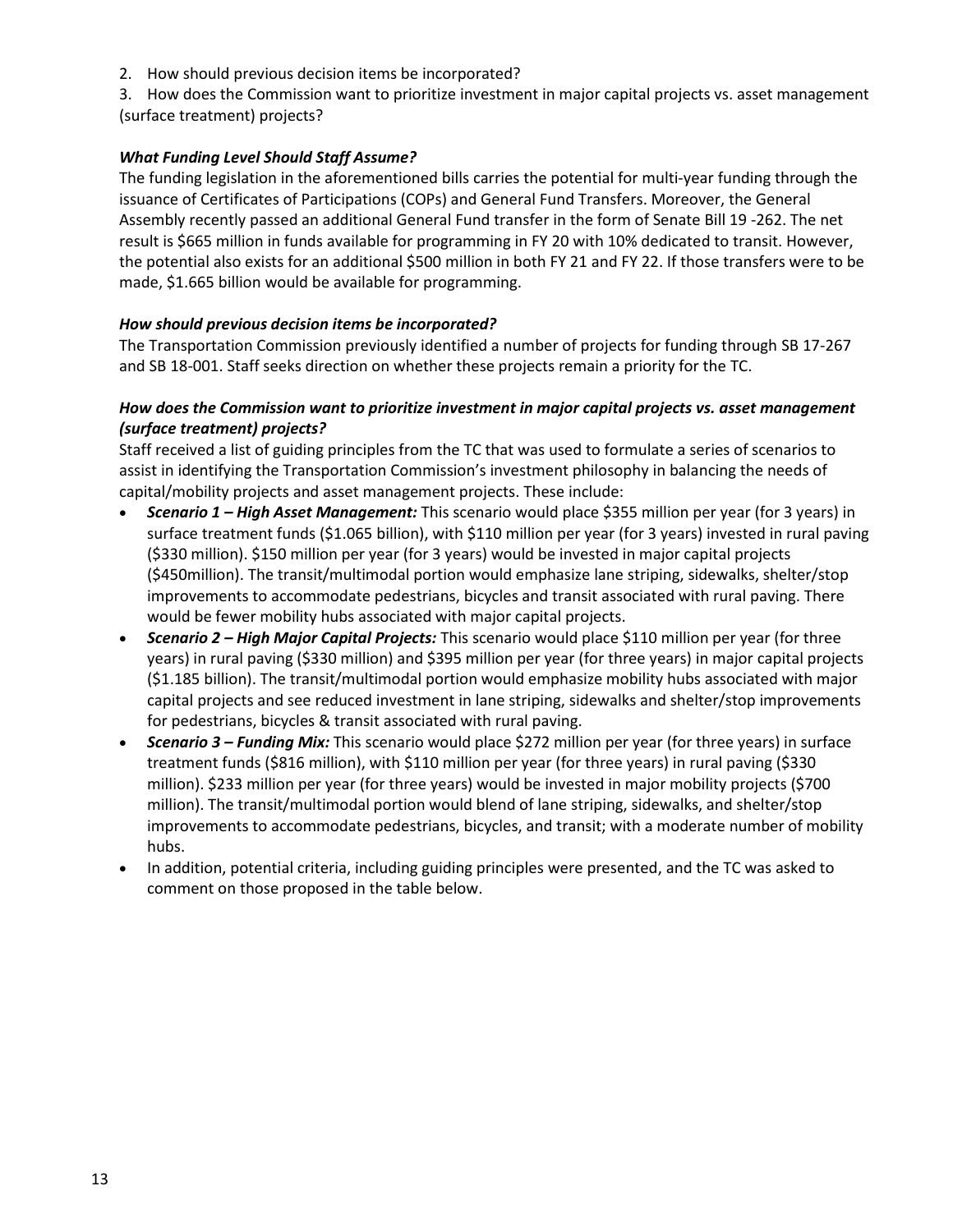2. How should previous decision items be incorporated?

3. How does the Commission want to prioritize investment in major capital projects vs. asset management (surface treatment) projects?

#### *What Funding Level Should Staff Assume?*

The funding legislation in the aforementioned bills carries the potential for multi-year funding through the issuance of Certificates of Participations (COPs) and General Fund Transfers. Moreover, the General Assembly recently passed an additional General Fund transfer in the form of Senate Bill 19 -262. The net result is \$665 million in funds available for programming in FY 20 with 10% dedicated to transit. However, the potential also exists for an additional \$500 million in both FY 21 and FY 22. If those transfers were to be made, \$1.665 billion would be available for programming.

#### *How should previous decision items be incorporated?*

The Transportation Commission previously identified a number of projects for funding through SB 17-267 and SB 18-001. Staff seeks direction on whether these projects remain a priority for the TC.

#### *How does the Commission want to prioritize investment in major capital projects vs. asset management (surface treatment) projects?*

Staff received a list of guiding principles from the TC that was used to formulate a series of scenarios to assist in identifying the Transportation Commission's investment philosophy in balancing the needs of capital/mobility projects and asset management projects. These include:

- *Scenario 1 – High Asset Management:* This scenario would place \$355 million per year (for 3 years) in surface treatment funds (\$1.065 billion), with \$110 million per year (for 3 years) invested in rural paving (\$330 million). \$150 million per year (for 3 years) would be invested in major capital projects (\$450million). The transit/multimodal portion would emphasize lane striping, sidewalks, shelter/stop improvements to accommodate pedestrians, bicycles and transit associated with rural paving. There would be fewer mobility hubs associated with major capital projects.
- *Scenario 2 – High Major Capital Projects:* This scenario would place \$110 million per year (for three years) in rural paving (\$330 million) and \$395 million per year (for three years) in major capital projects (\$1.185 billion). The transit/multimodal portion would emphasize mobility hubs associated with major capital projects and see reduced investment in lane striping, sidewalks and shelter/stop improvements for pedestrians, bicycles & transit associated with rural paving.
- *Scenario 3 – Funding Mix:* This scenario would place \$272 million per year (for three years) in surface treatment funds (\$816 million), with \$110 million per year (for three years) in rural paving (\$330 million). \$233 million per year (for three years) would be invested in major mobility projects (\$700 million). The transit/multimodal portion would blend of lane striping, sidewalks, and shelter/stop improvements to accommodate pedestrians, bicycles, and transit; with a moderate number of mobility hubs.
- In addition, potential criteria, including guiding principles were presented, and the TC was asked to comment on those proposed in the table below.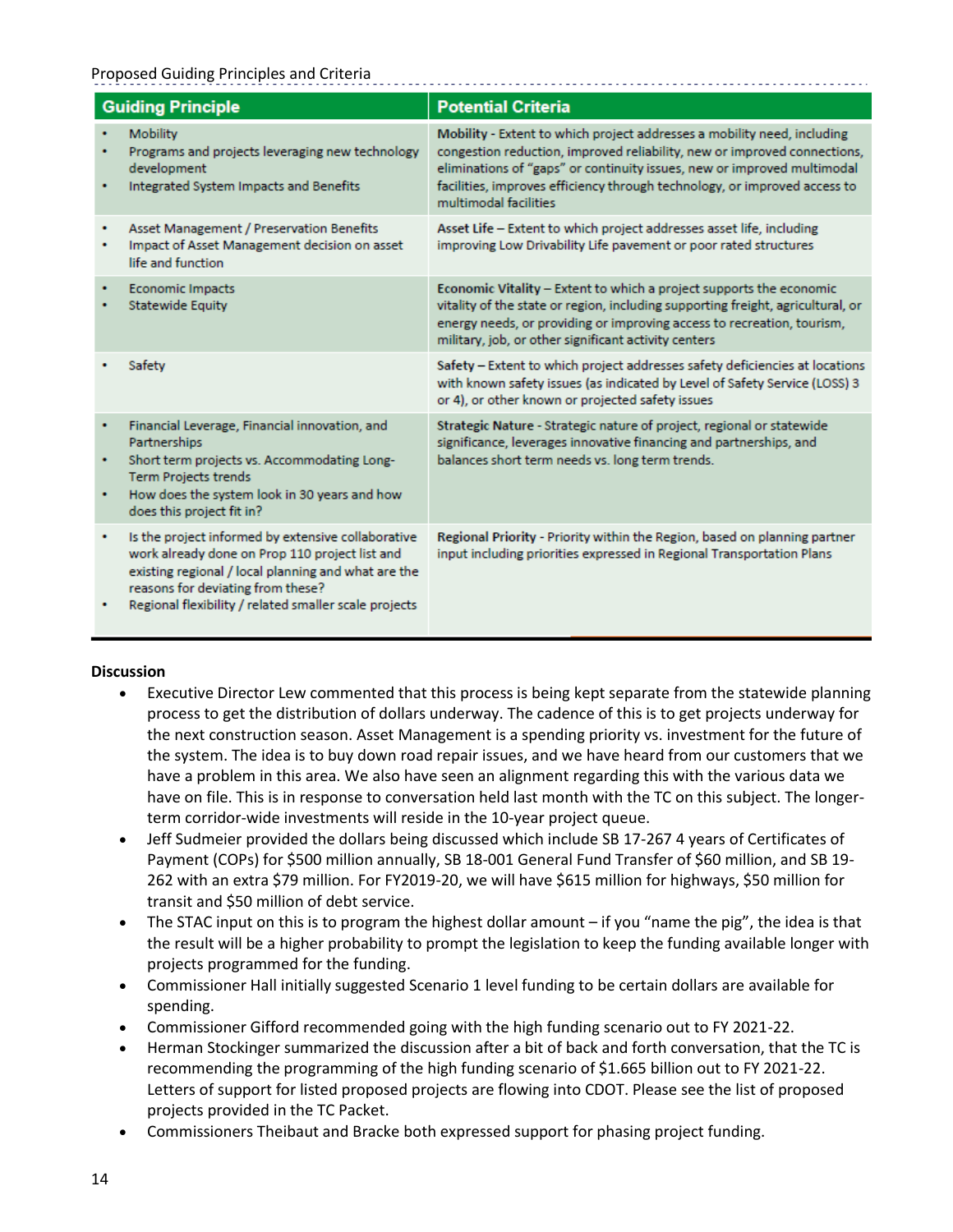#### Proposed Guiding Principles and Criteria

| <b>Guiding Principle</b> |                                                                                                                                                                                                                                                           | <b>Potential Criteria</b>                                                                                                                                                                                                                                                                                                            |  |
|--------------------------|-----------------------------------------------------------------------------------------------------------------------------------------------------------------------------------------------------------------------------------------------------------|--------------------------------------------------------------------------------------------------------------------------------------------------------------------------------------------------------------------------------------------------------------------------------------------------------------------------------------|--|
| ٠                        | Mobility<br>Programs and projects leveraging new technology<br>development<br>Integrated System Impacts and Benefits                                                                                                                                      | Mobility - Extent to which project addresses a mobility need, including<br>congestion reduction, improved reliability, new or improved connections,<br>eliminations of "gaps" or continuity issues, new or improved multimodal<br>facilities, improves efficiency through technology, or improved access to<br>multimodal facilities |  |
| ٠                        | Asset Management / Preservation Benefits<br>Impact of Asset Management decision on asset<br>life and function                                                                                                                                             | Asset Life - Extent to which project addresses asset life, including<br>improving Low Drivability Life pavement or poor rated structures                                                                                                                                                                                             |  |
|                          | <b>Economic Impacts</b><br><b>Statewide Equity</b>                                                                                                                                                                                                        | Economic Vitality - Extent to which a project supports the economic<br>vitality of the state or region, including supporting freight, agricultural, or<br>energy needs, or providing or improving access to recreation, tourism,<br>military, job, or other significant activity centers                                             |  |
|                          | Safety                                                                                                                                                                                                                                                    | Safety - Extent to which project addresses safety deficiencies at locations<br>with known safety issues (as indicated by Level of Safety Service (LOSS) 3<br>or 4), or other known or projected safety issues                                                                                                                        |  |
| ٠<br>٠<br>٠              | Financial Leverage, Financial innovation, and<br>Partnerships<br>Short term projects vs. Accommodating Long-<br><b>Term Projects trends</b><br>How does the system look in 30 years and how<br>does this project fit in?                                  | Strategic Nature - Strategic nature of project, regional or statewide<br>significance, leverages innovative financing and partnerships, and<br>balances short term needs vs. long term trends.                                                                                                                                       |  |
| ۰                        | Is the project informed by extensive collaborative<br>work already done on Prop 110 project list and<br>existing regional / local planning and what are the<br>reasons for deviating from these?<br>Regional flexibility / related smaller scale projects | Regional Priority - Priority within the Region, based on planning partner<br>input including priorities expressed in Regional Transportation Plans                                                                                                                                                                                   |  |

- Executive Director Lew commented that this process is being kept separate from the statewide planning process to get the distribution of dollars underway. The cadence of this is to get projects underway for the next construction season. Asset Management is a spending priority vs. investment for the future of the system. The idea is to buy down road repair issues, and we have heard from our customers that we have a problem in this area. We also have seen an alignment regarding this with the various data we have on file. This is in response to conversation held last month with the TC on this subject. The longerterm corridor-wide investments will reside in the 10-year project queue.
- Jeff Sudmeier provided the dollars being discussed which include SB 17-267 4 years of Certificates of Payment (COPs) for \$500 million annually, SB 18-001 General Fund Transfer of \$60 million, and SB 19- 262 with an extra \$79 million. For FY2019-20, we will have \$615 million for highways, \$50 million for transit and \$50 million of debt service.
- The STAC input on this is to program the highest dollar amount if you "name the pig", the idea is that the result will be a higher probability to prompt the legislation to keep the funding available longer with projects programmed for the funding.
- Commissioner Hall initially suggested Scenario 1 level funding to be certain dollars are available for spending.
- Commissioner Gifford recommended going with the high funding scenario out to FY 2021-22.
- Herman Stockinger summarized the discussion after a bit of back and forth conversation, that the TC is recommending the programming of the high funding scenario of \$1.665 billion out to FY 2021-22. Letters of support for listed proposed projects are flowing into CDOT. Please see the list of proposed projects provided in the TC Packet.
- Commissioners Theibaut and Bracke both expressed support for phasing project funding.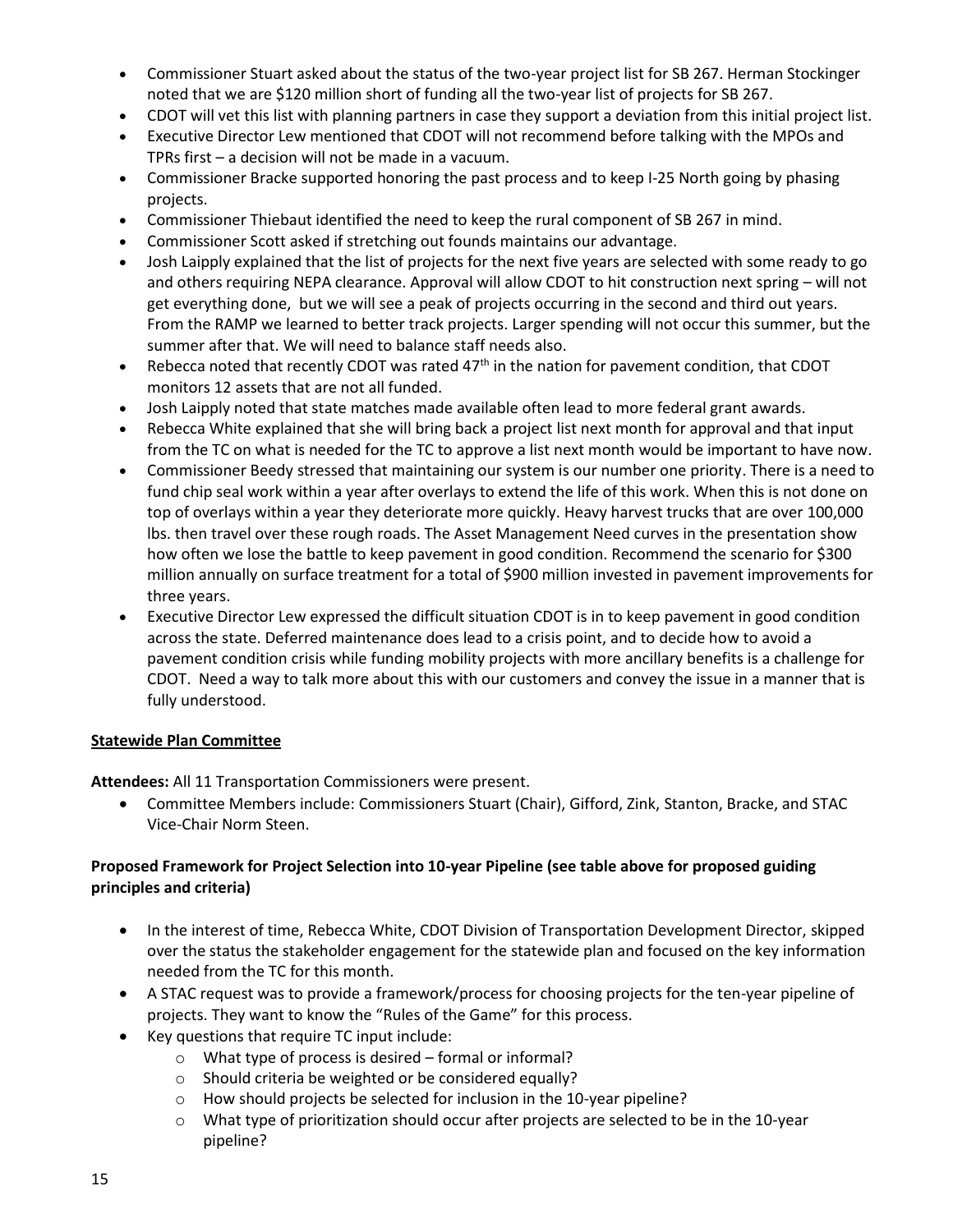- Commissioner Stuart asked about the status of the two-year project list for SB 267. Herman Stockinger noted that we are \$120 million short of funding all the two-year list of projects for SB 267.
- CDOT will vet this list with planning partners in case they support a deviation from this initial project list.
- Executive Director Lew mentioned that CDOT will not recommend before talking with the MPOs and TPRs first – a decision will not be made in a vacuum.
- Commissioner Bracke supported honoring the past process and to keep I-25 North going by phasing projects.
- Commissioner Thiebaut identified the need to keep the rural component of SB 267 in mind.
- Commissioner Scott asked if stretching out founds maintains our advantage.
- Josh Laipply explained that the list of projects for the next five years are selected with some ready to go and others requiring NEPA clearance. Approval will allow CDOT to hit construction next spring – will not get everything done, but we will see a peak of projects occurring in the second and third out years. From the RAMP we learned to better track projects. Larger spending will not occur this summer, but the summer after that. We will need to balance staff needs also.
- Rebecca noted that recently CDOT was rated  $47<sup>th</sup>$  in the nation for pavement condition, that CDOT monitors 12 assets that are not all funded.
- Josh Laipply noted that state matches made available often lead to more federal grant awards.
- Rebecca White explained that she will bring back a project list next month for approval and that input from the TC on what is needed for the TC to approve a list next month would be important to have now.
- Commissioner Beedy stressed that maintaining our system is our number one priority. There is a need to fund chip seal work within a year after overlays to extend the life of this work. When this is not done on top of overlays within a year they deteriorate more quickly. Heavy harvest trucks that are over 100,000 lbs. then travel over these rough roads. The Asset Management Need curves in the presentation show how often we lose the battle to keep pavement in good condition. Recommend the scenario for \$300 million annually on surface treatment for a total of \$900 million invested in pavement improvements for three years.
- Executive Director Lew expressed the difficult situation CDOT is in to keep pavement in good condition across the state. Deferred maintenance does lead to a crisis point, and to decide how to avoid a pavement condition crisis while funding mobility projects with more ancillary benefits is a challenge for CDOT. Need a way to talk more about this with our customers and convey the issue in a manner that is fully understood.

## **Statewide Plan Committee**

**Attendees:** All 11 Transportation Commissioners were present.

 Committee Members include: Commissioners Stuart (Chair), Gifford, Zink, Stanton, Bracke, and STAC Vice-Chair Norm Steen.

## **Proposed Framework for Project Selection into 10-year Pipeline (see table above for proposed guiding principles and criteria)**

- In the interest of time, Rebecca White, CDOT Division of Transportation Development Director, skipped over the status the stakeholder engagement for the statewide plan and focused on the key information needed from the TC for this month.
- A STAC request was to provide a framework/process for choosing projects for the ten-year pipeline of projects. They want to know the "Rules of the Game" for this process.
- Key questions that require TC input include:
	- o What type of process is desired formal or informal?
	- o Should criteria be weighted or be considered equally?
	- $\circ$  How should projects be selected for inclusion in the 10-year pipeline?
	- o What type of prioritization should occur after projects are selected to be in the 10-year pipeline?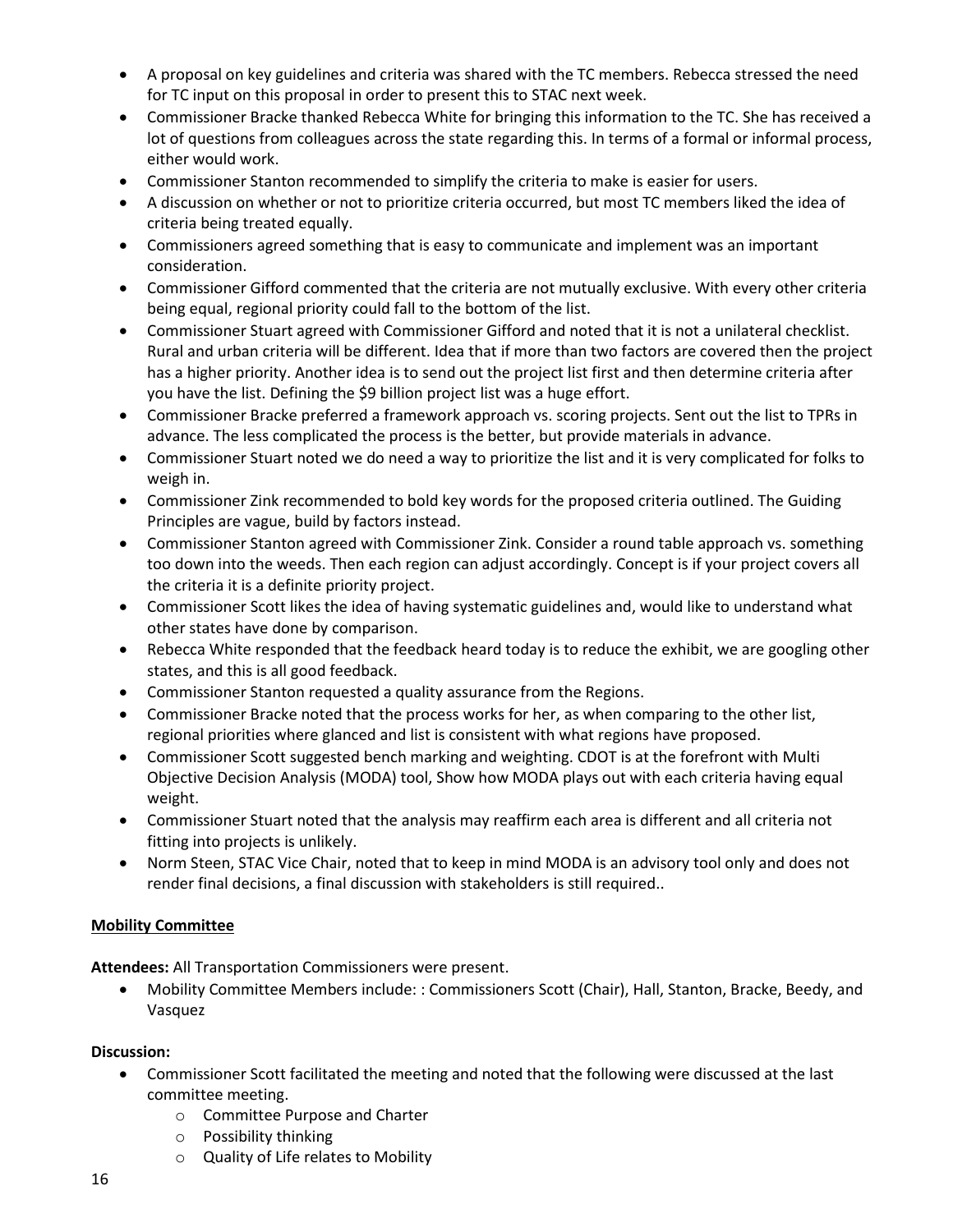- A proposal on key guidelines and criteria was shared with the TC members. Rebecca stressed the need for TC input on this proposal in order to present this to STAC next week.
- Commissioner Bracke thanked Rebecca White for bringing this information to the TC. She has received a lot of questions from colleagues across the state regarding this. In terms of a formal or informal process, either would work.
- Commissioner Stanton recommended to simplify the criteria to make is easier for users.
- A discussion on whether or not to prioritize criteria occurred, but most TC members liked the idea of criteria being treated equally.
- Commissioners agreed something that is easy to communicate and implement was an important consideration.
- Commissioner Gifford commented that the criteria are not mutually exclusive. With every other criteria being equal, regional priority could fall to the bottom of the list.
- Commissioner Stuart agreed with Commissioner Gifford and noted that it is not a unilateral checklist. Rural and urban criteria will be different. Idea that if more than two factors are covered then the project has a higher priority. Another idea is to send out the project list first and then determine criteria after you have the list. Defining the \$9 billion project list was a huge effort.
- Commissioner Bracke preferred a framework approach vs. scoring projects. Sent out the list to TPRs in advance. The less complicated the process is the better, but provide materials in advance.
- Commissioner Stuart noted we do need a way to prioritize the list and it is very complicated for folks to weigh in.
- Commissioner Zink recommended to bold key words for the proposed criteria outlined. The Guiding Principles are vague, build by factors instead.
- Commissioner Stanton agreed with Commissioner Zink. Consider a round table approach vs. something too down into the weeds. Then each region can adjust accordingly. Concept is if your project covers all the criteria it is a definite priority project.
- Commissioner Scott likes the idea of having systematic guidelines and, would like to understand what other states have done by comparison.
- Rebecca White responded that the feedback heard today is to reduce the exhibit, we are googling other states, and this is all good feedback.
- Commissioner Stanton requested a quality assurance from the Regions.
- Commissioner Bracke noted that the process works for her, as when comparing to the other list, regional priorities where glanced and list is consistent with what regions have proposed.
- Commissioner Scott suggested bench marking and weighting. CDOT is at the forefront with Multi Objective Decision Analysis (MODA) tool, Show how MODA plays out with each criteria having equal weight.
- Commissioner Stuart noted that the analysis may reaffirm each area is different and all criteria not fitting into projects is unlikely.
- Norm Steen, STAC Vice Chair, noted that to keep in mind MODA is an advisory tool only and does not render final decisions, a final discussion with stakeholders is still required..

## **Mobility Committee**

**Attendees:** All Transportation Commissioners were present.

 Mobility Committee Members include: : Commissioners Scott (Chair), Hall, Stanton, Bracke, Beedy, and Vasquez

- Commissioner Scott facilitated the meeting and noted that the following were discussed at the last committee meeting.
	- o Committee Purpose and Charter
	- o Possibility thinking
	- o Quality of Life relates to Mobility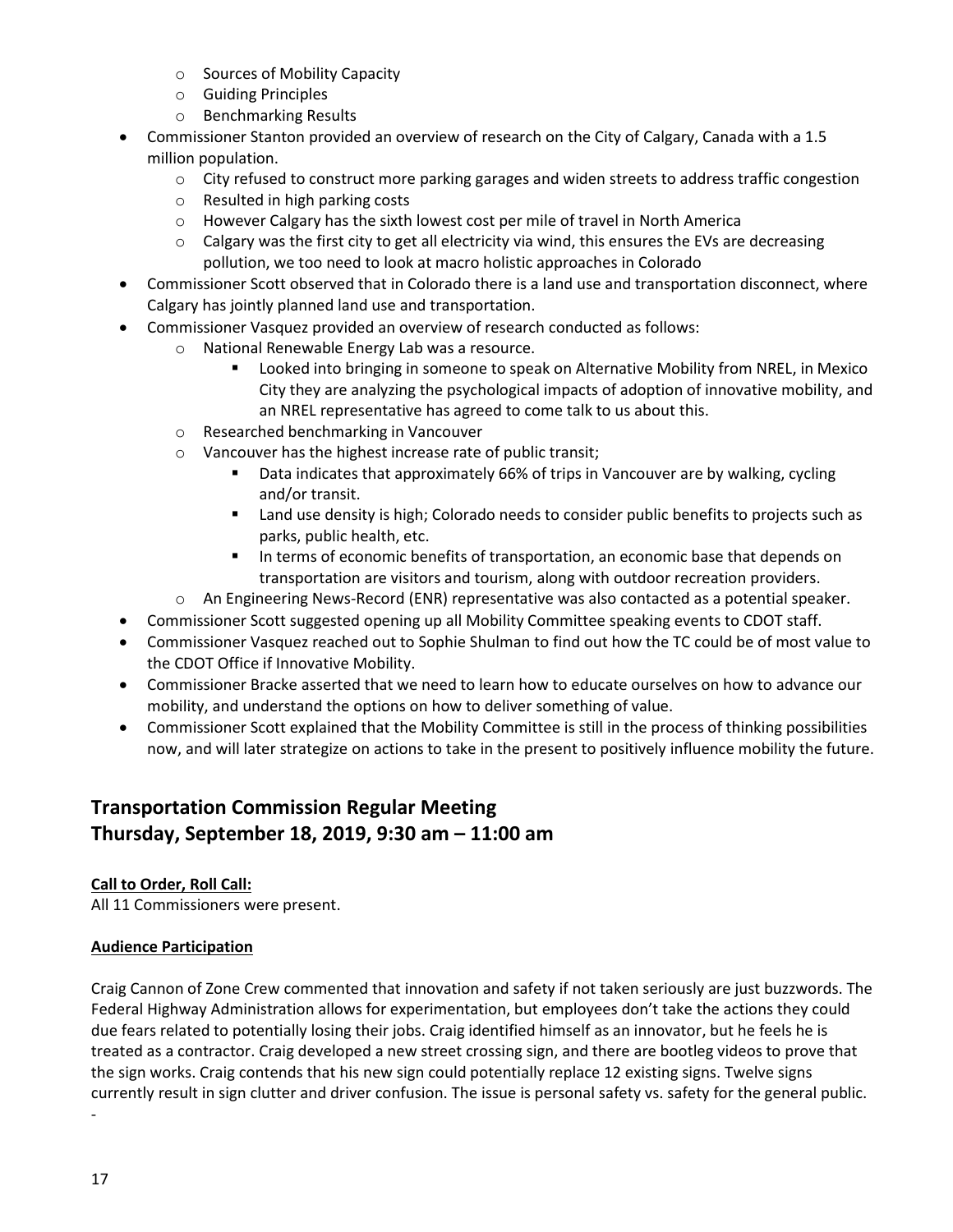- o Sources of Mobility Capacity
- o Guiding Principles
- o Benchmarking Results
- Commissioner Stanton provided an overview of research on the City of Calgary, Canada with a 1.5 million population.
	- o City refused to construct more parking garages and widen streets to address traffic congestion
	- o Resulted in high parking costs
	- o However Calgary has the sixth lowest cost per mile of travel in North America
	- $\circ$  Calgary was the first city to get all electricity via wind, this ensures the EVs are decreasing pollution, we too need to look at macro holistic approaches in Colorado
- Commissioner Scott observed that in Colorado there is a land use and transportation disconnect, where Calgary has jointly planned land use and transportation.
- Commissioner Vasquez provided an overview of research conducted as follows:
	- o National Renewable Energy Lab was a resource.
		- **EXECT** Looked into bringing in someone to speak on Alternative Mobility from NREL, in Mexico City they are analyzing the psychological impacts of adoption of innovative mobility, and an NREL representative has agreed to come talk to us about this.
	- o Researched benchmarking in Vancouver
	- o Vancouver has the highest increase rate of public transit;
		- Data indicates that approximately 66% of trips in Vancouver are by walking, cycling and/or transit.
		- **EXECT** Land use density is high; Colorado needs to consider public benefits to projects such as parks, public health, etc.
		- In terms of economic benefits of transportation, an economic base that depends on transportation are visitors and tourism, along with outdoor recreation providers.
	- o An Engineering News-Record (ENR) representative was also contacted as a potential speaker.
- Commissioner Scott suggested opening up all Mobility Committee speaking events to CDOT staff.
- Commissioner Vasquez reached out to Sophie Shulman to find out how the TC could be of most value to the CDOT Office if Innovative Mobility.
- Commissioner Bracke asserted that we need to learn how to educate ourselves on how to advance our mobility, and understand the options on how to deliver something of value.
- Commissioner Scott explained that the Mobility Committee is still in the process of thinking possibilities now, and will later strategize on actions to take in the present to positively influence mobility the future.

# **Transportation Commission Regular Meeting Thursday, September 18, 2019, 9:30 am – 11:00 am**

## **Call to Order, Roll Call:**

All 11 Commissioners were present.

## **Audience Participation**

Craig Cannon of Zone Crew commented that innovation and safety if not taken seriously are just buzzwords. The Federal Highway Administration allows for experimentation, but employees don't take the actions they could due fears related to potentially losing their jobs. Craig identified himself as an innovator, but he feels he is treated as a contractor. Craig developed a new street crossing sign, and there are bootleg videos to prove that the sign works. Craig contends that his new sign could potentially replace 12 existing signs. Twelve signs currently result in sign clutter and driver confusion. The issue is personal safety vs. safety for the general public.

-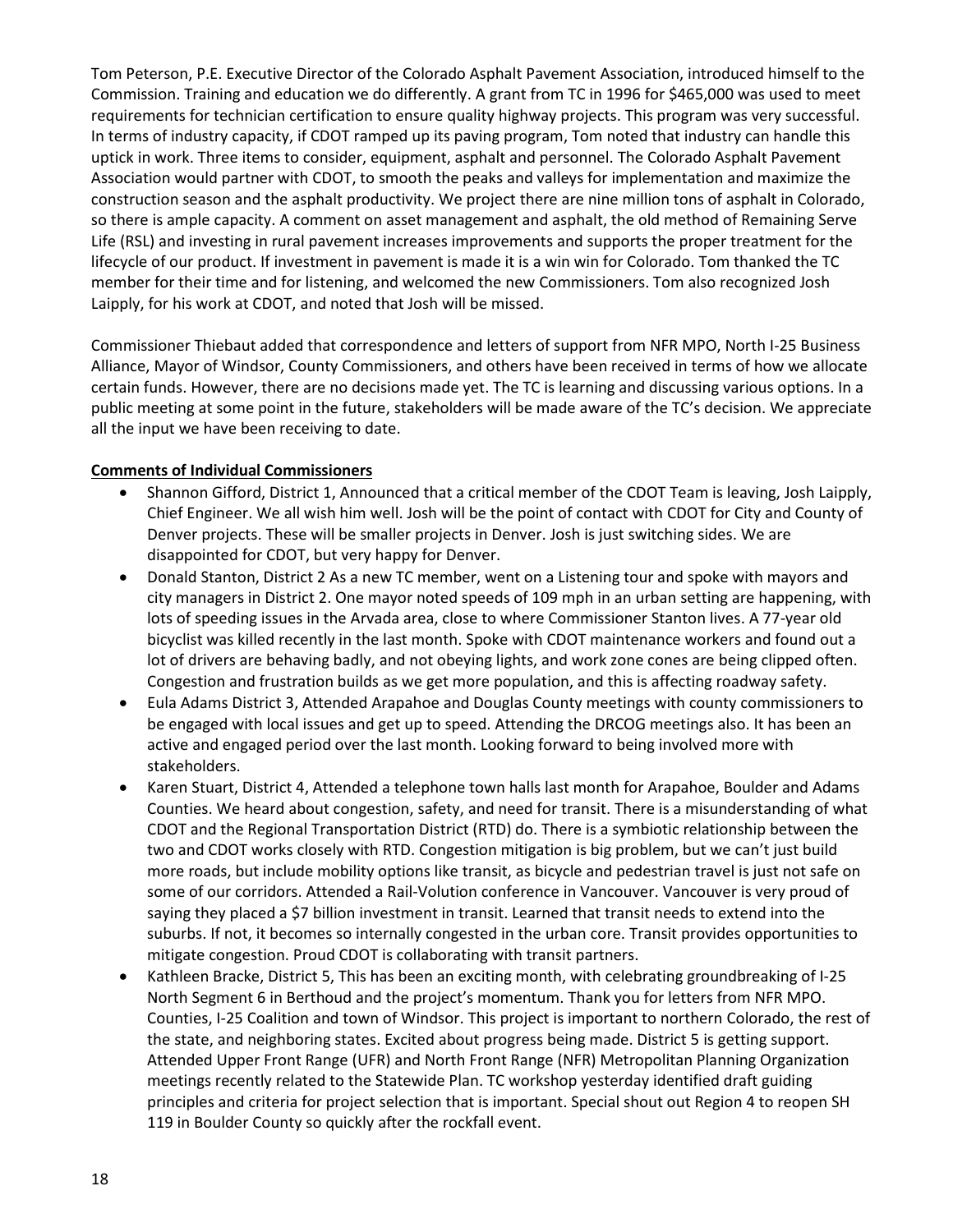Tom Peterson, P.E. Executive Director of the Colorado Asphalt Pavement Association, introduced himself to the Commission. Training and education we do differently. A grant from TC in 1996 for \$465,000 was used to meet requirements for technician certification to ensure quality highway projects. This program was very successful. In terms of industry capacity, if CDOT ramped up its paving program, Tom noted that industry can handle this uptick in work. Three items to consider, equipment, asphalt and personnel. The Colorado Asphalt Pavement Association would partner with CDOT, to smooth the peaks and valleys for implementation and maximize the construction season and the asphalt productivity. We project there are nine million tons of asphalt in Colorado, so there is ample capacity. A comment on asset management and asphalt, the old method of Remaining Serve Life (RSL) and investing in rural pavement increases improvements and supports the proper treatment for the lifecycle of our product. If investment in pavement is made it is a win win for Colorado. Tom thanked the TC member for their time and for listening, and welcomed the new Commissioners. Tom also recognized Josh Laipply, for his work at CDOT, and noted that Josh will be missed.

Commissioner Thiebaut added that correspondence and letters of support from NFR MPO, North I-25 Business Alliance, Mayor of Windsor, County Commissioners, and others have been received in terms of how we allocate certain funds. However, there are no decisions made yet. The TC is learning and discussing various options. In a public meeting at some point in the future, stakeholders will be made aware of the TC's decision. We appreciate all the input we have been receiving to date.

#### **Comments of Individual Commissioners**

- Shannon Gifford, District 1, Announced that a critical member of the CDOT Team is leaving, Josh Laipply, Chief Engineer. We all wish him well. Josh will be the point of contact with CDOT for City and County of Denver projects. These will be smaller projects in Denver. Josh is just switching sides. We are disappointed for CDOT, but very happy for Denver.
- Donald Stanton, District 2 As a new TC member, went on a Listening tour and spoke with mayors and city managers in District 2. One mayor noted speeds of 109 mph in an urban setting are happening, with lots of speeding issues in the Arvada area, close to where Commissioner Stanton lives. A 77-year old bicyclist was killed recently in the last month. Spoke with CDOT maintenance workers and found out a lot of drivers are behaving badly, and not obeying lights, and work zone cones are being clipped often. Congestion and frustration builds as we get more population, and this is affecting roadway safety.
- Eula Adams District 3, Attended Arapahoe and Douglas County meetings with county commissioners to be engaged with local issues and get up to speed. Attending the DRCOG meetings also. It has been an active and engaged period over the last month. Looking forward to being involved more with stakeholders.
- Karen Stuart, District 4, Attended a telephone town halls last month for Arapahoe, Boulder and Adams Counties. We heard about congestion, safety, and need for transit. There is a misunderstanding of what CDOT and the Regional Transportation District (RTD) do. There is a symbiotic relationship between the two and CDOT works closely with RTD. Congestion mitigation is big problem, but we can't just build more roads, but include mobility options like transit, as bicycle and pedestrian travel is just not safe on some of our corridors. Attended a Rail-Volution conference in Vancouver. Vancouver is very proud of saying they placed a \$7 billion investment in transit. Learned that transit needs to extend into the suburbs. If not, it becomes so internally congested in the urban core. Transit provides opportunities to mitigate congestion. Proud CDOT is collaborating with transit partners.
- Kathleen Bracke, District 5, This has been an exciting month, with celebrating groundbreaking of I-25 North Segment 6 in Berthoud and the project's momentum. Thank you for letters from NFR MPO. Counties, I-25 Coalition and town of Windsor. This project is important to northern Colorado, the rest of the state, and neighboring states. Excited about progress being made. District 5 is getting support. Attended Upper Front Range (UFR) and North Front Range (NFR) Metropolitan Planning Organization meetings recently related to the Statewide Plan. TC workshop yesterday identified draft guiding principles and criteria for project selection that is important. Special shout out Region 4 to reopen SH 119 in Boulder County so quickly after the rockfall event.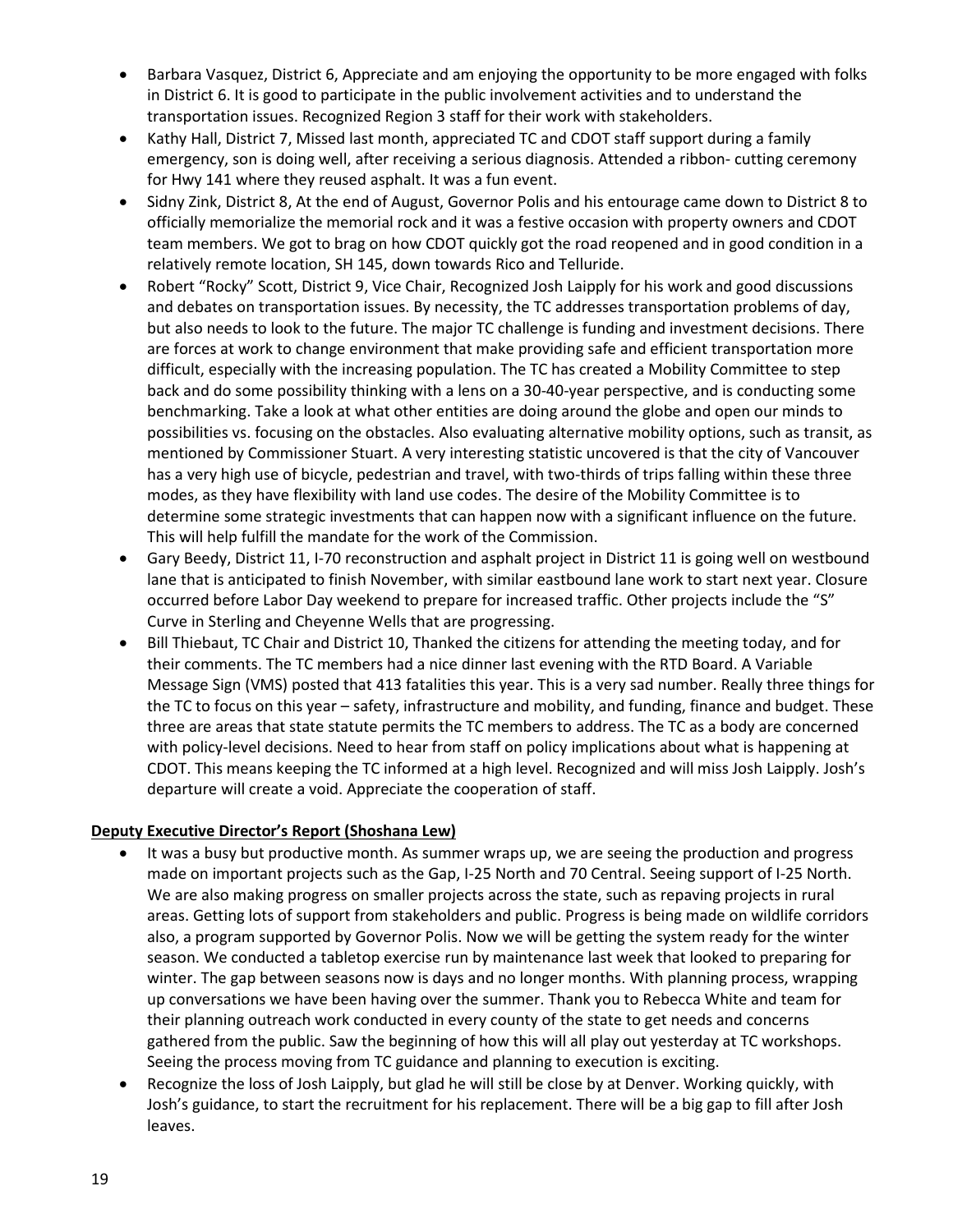- Barbara Vasquez, District 6, Appreciate and am enjoying the opportunity to be more engaged with folks in District 6. It is good to participate in the public involvement activities and to understand the transportation issues. Recognized Region 3 staff for their work with stakeholders.
- Kathy Hall, District 7, Missed last month, appreciated TC and CDOT staff support during a family emergency, son is doing well, after receiving a serious diagnosis. Attended a ribbon- cutting ceremony for Hwy 141 where they reused asphalt. It was a fun event.
- Sidny Zink, District 8, At the end of August, Governor Polis and his entourage came down to District 8 to officially memorialize the memorial rock and it was a festive occasion with property owners and CDOT team members. We got to brag on how CDOT quickly got the road reopened and in good condition in a relatively remote location, SH 145, down towards Rico and Telluride.
- Robert "Rocky" Scott, District 9, Vice Chair, Recognized Josh Laipply for his work and good discussions and debates on transportation issues. By necessity, the TC addresses transportation problems of day, but also needs to look to the future. The major TC challenge is funding and investment decisions. There are forces at work to change environment that make providing safe and efficient transportation more difficult, especially with the increasing population. The TC has created a Mobility Committee to step back and do some possibility thinking with a lens on a 30-40-year perspective, and is conducting some benchmarking. Take a look at what other entities are doing around the globe and open our minds to possibilities vs. focusing on the obstacles. Also evaluating alternative mobility options, such as transit, as mentioned by Commissioner Stuart. A very interesting statistic uncovered is that the city of Vancouver has a very high use of bicycle, pedestrian and travel, with two-thirds of trips falling within these three modes, as they have flexibility with land use codes. The desire of the Mobility Committee is to determine some strategic investments that can happen now with a significant influence on the future. This will help fulfill the mandate for the work of the Commission.
- Gary Beedy, District 11, I-70 reconstruction and asphalt project in District 11 is going well on westbound lane that is anticipated to finish November, with similar eastbound lane work to start next year. Closure occurred before Labor Day weekend to prepare for increased traffic. Other projects include the "S" Curve in Sterling and Cheyenne Wells that are progressing.
- Bill Thiebaut, TC Chair and District 10, Thanked the citizens for attending the meeting today, and for their comments. The TC members had a nice dinner last evening with the RTD Board. A Variable Message Sign (VMS) posted that 413 fatalities this year. This is a very sad number. Really three things for the TC to focus on this year – safety, infrastructure and mobility, and funding, finance and budget. These three are areas that state statute permits the TC members to address. The TC as a body are concerned with policy-level decisions. Need to hear from staff on policy implications about what is happening at CDOT. This means keeping the TC informed at a high level. Recognized and will miss Josh Laipply. Josh's departure will create a void. Appreciate the cooperation of staff.

## **Deputy Executive Director's Report (Shoshana Lew)**

- It was a busy but productive month. As summer wraps up, we are seeing the production and progress made on important projects such as the Gap, I-25 North and 70 Central. Seeing support of I-25 North. We are also making progress on smaller projects across the state, such as repaving projects in rural areas. Getting lots of support from stakeholders and public. Progress is being made on wildlife corridors also, a program supported by Governor Polis. Now we will be getting the system ready for the winter season. We conducted a tabletop exercise run by maintenance last week that looked to preparing for winter. The gap between seasons now is days and no longer months. With planning process, wrapping up conversations we have been having over the summer. Thank you to Rebecca White and team for their planning outreach work conducted in every county of the state to get needs and concerns gathered from the public. Saw the beginning of how this will all play out yesterday at TC workshops. Seeing the process moving from TC guidance and planning to execution is exciting.
- Recognize the loss of Josh Laipply, but glad he will still be close by at Denver. Working quickly, with Josh's guidance, to start the recruitment for his replacement. There will be a big gap to fill after Josh leaves.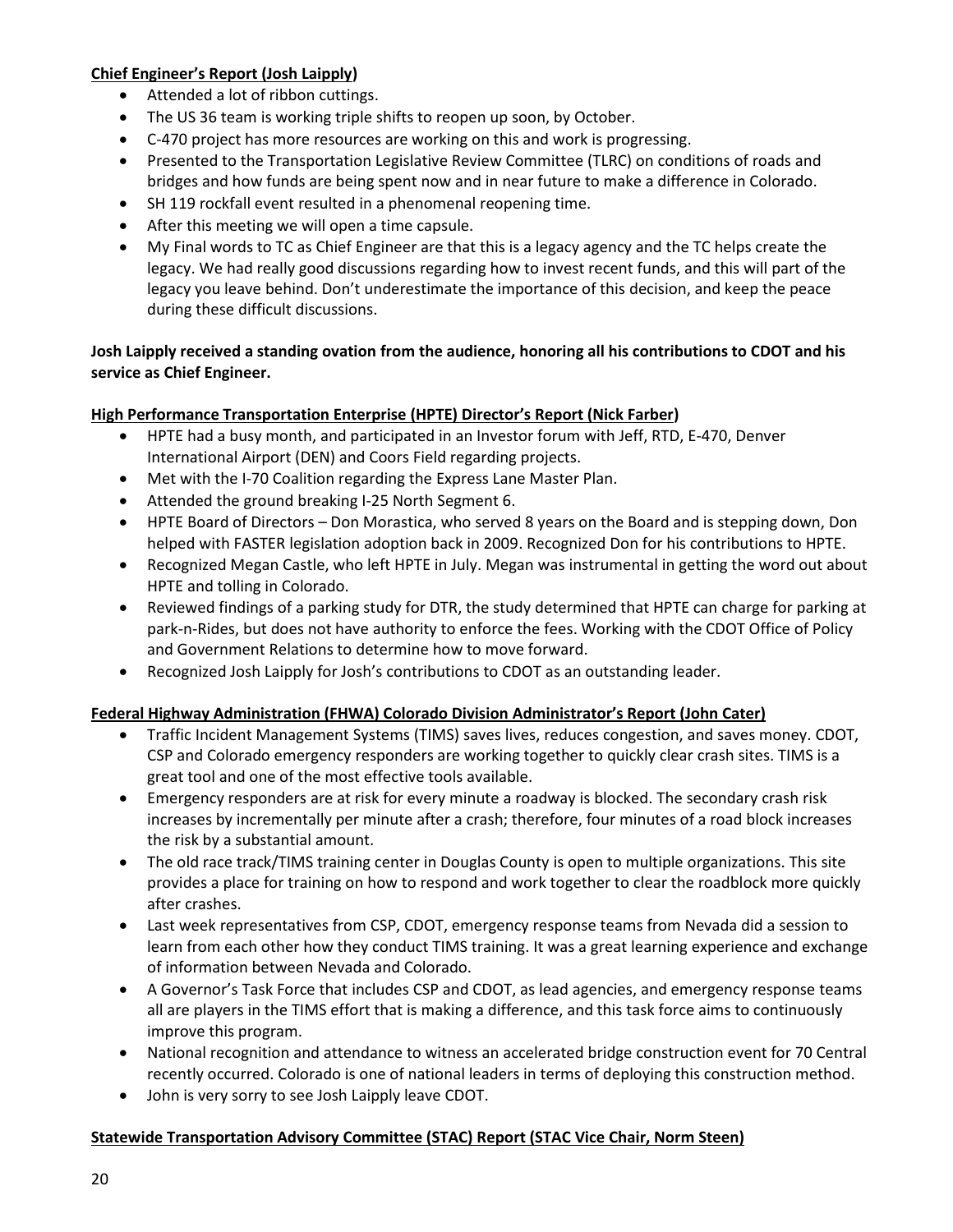## **Chief Engineer's Report (Josh Laipply)**

- Attended a lot of ribbon cuttings.
- The US 36 team is working triple shifts to reopen up soon, by October.
- C-470 project has more resources are working on this and work is progressing.
- Presented to the Transportation Legislative Review Committee (TLRC) on conditions of roads and bridges and how funds are being spent now and in near future to make a difference in Colorado.
- SH 119 rockfall event resulted in a phenomenal reopening time.
- After this meeting we will open a time capsule.
- My Final words to TC as Chief Engineer are that this is a legacy agency and the TC helps create the legacy. We had really good discussions regarding how to invest recent funds, and this will part of the legacy you leave behind. Don't underestimate the importance of this decision, and keep the peace during these difficult discussions.

## **Josh Laipply received a standing ovation from the audience, honoring all his contributions to CDOT and his service as Chief Engineer.**

# **High Performance Transportation Enterprise (HPTE) Director's Report (Nick Farber)**

- HPTE had a busy month, and participated in an Investor forum with Jeff, RTD, E-470, Denver International Airport (DEN) and Coors Field regarding projects.
- Met with the I-70 Coalition regarding the Express Lane Master Plan.
- Attended the ground breaking I-25 North Segment 6.
- HPTE Board of Directors Don Morastica, who served 8 years on the Board and is stepping down, Don helped with FASTER legislation adoption back in 2009. Recognized Don for his contributions to HPTE.
- Recognized Megan Castle, who left HPTE in July. Megan was instrumental in getting the word out about HPTE and tolling in Colorado.
- Reviewed findings of a parking study for DTR, the study determined that HPTE can charge for parking at park-n-Rides, but does not have authority to enforce the fees. Working with the CDOT Office of Policy and Government Relations to determine how to move forward.
- Recognized Josh Laipply for Josh's contributions to CDOT as an outstanding leader.

## **Federal Highway Administration (FHWA) Colorado Division Administrator's Report (John Cater)**

- Traffic Incident Management Systems (TIMS) saves lives, reduces congestion, and saves money. CDOT, CSP and Colorado emergency responders are working together to quickly clear crash sites. TIMS is a great tool and one of the most effective tools available.
- Emergency responders are at risk for every minute a roadway is blocked. The secondary crash risk increases by incrementally per minute after a crash; therefore, four minutes of a road block increases the risk by a substantial amount.
- The old race track/TIMS training center in Douglas County is open to multiple organizations. This site provides a place for training on how to respond and work together to clear the roadblock more quickly after crashes.
- Last week representatives from CSP, CDOT, emergency response teams from Nevada did a session to learn from each other how they conduct TIMS training. It was a great learning experience and exchange of information between Nevada and Colorado.
- A Governor's Task Force that includes CSP and CDOT, as lead agencies, and emergency response teams all are players in the TIMS effort that is making a difference, and this task force aims to continuously improve this program.
- National recognition and attendance to witness an accelerated bridge construction event for 70 Central recently occurred. Colorado is one of national leaders in terms of deploying this construction method.
- John is very sorry to see Josh Laipply leave CDOT.

## **Statewide Transportation Advisory Committee (STAC) Report (STAC Vice Chair, Norm Steen)**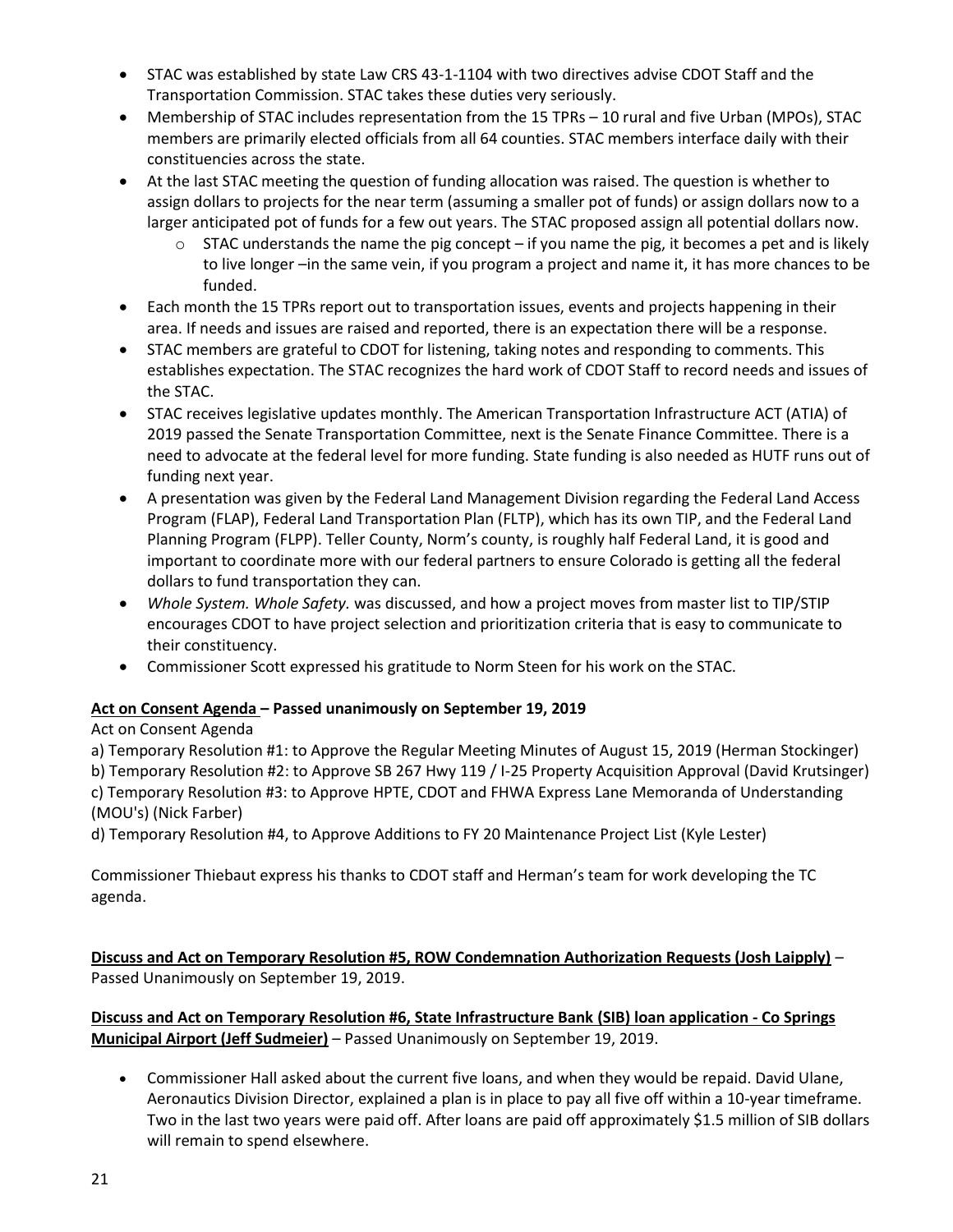- STAC was established by state Law CRS 43-1-1104 with two directives advise CDOT Staff and the Transportation Commission. STAC takes these duties very seriously.
- Membership of STAC includes representation from the 15 TPRs 10 rural and five Urban (MPOs), STAC members are primarily elected officials from all 64 counties. STAC members interface daily with their constituencies across the state.
- At the last STAC meeting the question of funding allocation was raised. The question is whether to assign dollars to projects for the near term (assuming a smaller pot of funds) or assign dollars now to a larger anticipated pot of funds for a few out years. The STAC proposed assign all potential dollars now.
	- STAC understands the name the pig concept if you name the pig, it becomes a pet and is likely to live longer –in the same vein, if you program a project and name it, it has more chances to be funded.
- Each month the 15 TPRs report out to transportation issues, events and projects happening in their area. If needs and issues are raised and reported, there is an expectation there will be a response.
- STAC members are grateful to CDOT for listening, taking notes and responding to comments. This establishes expectation. The STAC recognizes the hard work of CDOT Staff to record needs and issues of the STAC.
- STAC receives legislative updates monthly. The American Transportation Infrastructure ACT (ATIA) of 2019 passed the Senate Transportation Committee, next is the Senate Finance Committee. There is a need to advocate at the federal level for more funding. State funding is also needed as HUTF runs out of funding next year.
- A presentation was given by the Federal Land Management Division regarding the Federal Land Access Program (FLAP), Federal Land Transportation Plan (FLTP), which has its own TIP, and the Federal Land Planning Program (FLPP). Teller County, Norm's county, is roughly half Federal Land, it is good and important to coordinate more with our federal partners to ensure Colorado is getting all the federal dollars to fund transportation they can.
- *Whole System. Whole Safety.* was discussed, and how a project moves from master list to TIP/STIP encourages CDOT to have project selection and prioritization criteria that is easy to communicate to their constituency.
- Commissioner Scott expressed his gratitude to Norm Steen for his work on the STAC.

## **Act on Consent Agenda – Passed unanimously on September 19, 2019**

# Act on Consent Agenda

a) Temporary Resolution #1: to Approve the Regular Meeting Minutes of August 15, 2019 (Herman Stockinger) b) Temporary Resolution #2: to Approve SB 267 Hwy 119 / I-25 Property Acquisition Approval (David Krutsinger) c) Temporary Resolution #3: to Approve HPTE, CDOT and FHWA Express Lane Memoranda of Understanding (MOU's) (Nick Farber)

d) Temporary Resolution #4, to Approve Additions to FY 20 Maintenance Project List (Kyle Lester)

Commissioner Thiebaut express his thanks to CDOT staff and Herman's team for work developing the TC agenda.

**Discuss and Act on Temporary Resolution #5, ROW Condemnation Authorization Requests (Josh Laipply)** – Passed Unanimously on September 19, 2019.

**Discuss and Act on Temporary Resolution #6, State Infrastructure Bank (SIB) loan application - Co Springs Municipal Airport (Jeff Sudmeier)** – Passed Unanimously on September 19, 2019.

 Commissioner Hall asked about the current five loans, and when they would be repaid. David Ulane, Aeronautics Division Director, explained a plan is in place to pay all five off within a 10-year timeframe. Two in the last two years were paid off. After loans are paid off approximately \$1.5 million of SIB dollars will remain to spend elsewhere.